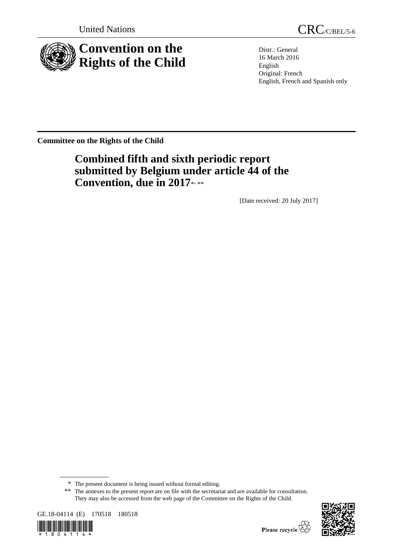

United Nations CRC/C/BEL/5-6

Distr.: General 16 March 2016 English Original: French English, French and Spanish only

**Committee on the Rights of the Child**

# **Combined fifth and sixth periodic report submitted by Belgium under article 44 of the**  Convention, due in 2017\*

[Date received: 20 July 2017]

<sup>\*\*</sup> The annexes to the present report are on file with the secretariat and are available for consultation. They may also be accessed from the web page of the Committee on the Rights of the Child.







<sup>\*</sup> The present document is being issued without formal editing.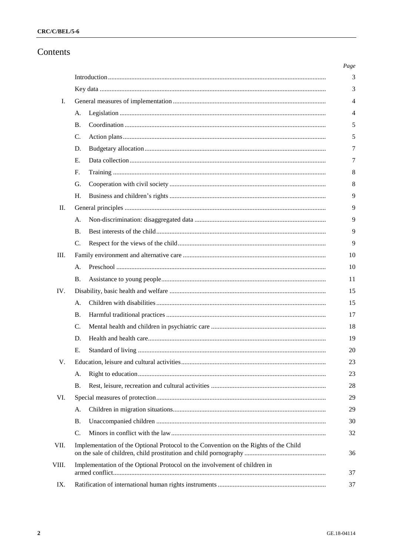## Contents

| Ι.    |                                                                           |                                                                                      |  |
|-------|---------------------------------------------------------------------------|--------------------------------------------------------------------------------------|--|
|       | A.                                                                        |                                                                                      |  |
|       | В.                                                                        |                                                                                      |  |
|       | C.                                                                        |                                                                                      |  |
|       | D.                                                                        |                                                                                      |  |
|       | Ε.                                                                        |                                                                                      |  |
|       | F.                                                                        |                                                                                      |  |
|       | G.                                                                        |                                                                                      |  |
|       | Η.                                                                        |                                                                                      |  |
| П.    |                                                                           |                                                                                      |  |
|       | А.                                                                        |                                                                                      |  |
|       | В.                                                                        |                                                                                      |  |
|       | C.                                                                        |                                                                                      |  |
| III.  |                                                                           |                                                                                      |  |
|       | A.                                                                        |                                                                                      |  |
|       | В.                                                                        |                                                                                      |  |
| IV.   |                                                                           |                                                                                      |  |
|       | А.                                                                        |                                                                                      |  |
|       | <b>B.</b>                                                                 |                                                                                      |  |
|       | C.                                                                        |                                                                                      |  |
|       | D.                                                                        |                                                                                      |  |
|       | Е.                                                                        |                                                                                      |  |
| V.    |                                                                           |                                                                                      |  |
|       | А.                                                                        |                                                                                      |  |
|       | В.                                                                        |                                                                                      |  |
| VI.   |                                                                           |                                                                                      |  |
|       | A.                                                                        |                                                                                      |  |
|       | <b>B.</b>                                                                 |                                                                                      |  |
|       | C.                                                                        |                                                                                      |  |
| VII.  |                                                                           | Implementation of the Optional Protocol to the Convention on the Rights of the Child |  |
| VIII. | Implementation of the Optional Protocol on the involvement of children in |                                                                                      |  |
|       |                                                                           |                                                                                      |  |
|       |                                                                           |                                                                                      |  |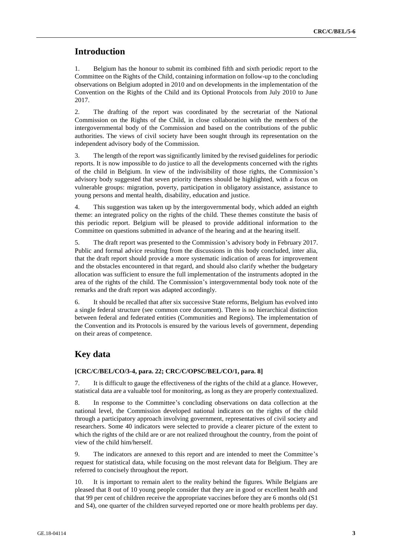## **Introduction**

1. Belgium has the honour to submit its combined fifth and sixth periodic report to the Committee on the Rights of the Child, containing information on follow-up to the concluding observations on Belgium adopted in 2010 and on developments in the implementation of the Convention on the Rights of the Child and its Optional Protocols from July 2010 to June 2017.

2. The drafting of the report was coordinated by the secretariat of the National Commission on the Rights of the Child, in close collaboration with the members of the intergovernmental body of the Commission and based on the contributions of the public authorities. The views of civil society have been sought through its representation on the independent advisory body of the Commission.

3. The length of the report was significantly limited by the revised guidelines for periodic reports. It is now impossible to do justice to all the developments concerned with the rights of the child in Belgium. In view of the indivisibility of those rights, the Commission's advisory body suggested that seven priority themes should be highlighted, with a focus on vulnerable groups: migration, poverty, participation in obligatory assistance, assistance to young persons and mental health, disability, education and justice.

4. This suggestion was taken up by the intergovernmental body, which added an eighth theme: an integrated policy on the rights of the child. These themes constitute the basis of this periodic report. Belgium will be pleased to provide additional information to the Committee on questions submitted in advance of the hearing and at the hearing itself.

5. The draft report was presented to the Commission's advisory body in February 2017. Public and formal advice resulting from the discussions in this body concluded, inter alia, that the draft report should provide a more systematic indication of areas for improvement and the obstacles encountered in that regard, and should also clarify whether the budgetary allocation was sufficient to ensure the full implementation of the instruments adopted in the area of the rights of the child. The Commission's intergovernmental body took note of the remarks and the draft report was adapted accordingly.

6. It should be recalled that after six successive State reforms, Belgium has evolved into a single federal structure (see common core document). There is no hierarchical distinction between federal and federated entities (Communities and Regions). The implementation of the Convention and its Protocols is ensured by the various levels of government, depending on their areas of competence.

## **Key data**

## **[CRC/C/BEL/CO/3-4, para. 22; CRC/C/OPSC/BEL/CO/1, para. 8]**

7. It is difficult to gauge the effectiveness of the rights of the child at a glance. However, statistical data are a valuable tool for monitoring, as long as they are properly contextualized.

8. In response to the Committee's concluding observations on data collection at the national level, the Commission developed national indicators on the rights of the child through a participatory approach involving government, representatives of civil society and researchers. Some 40 indicators were selected to provide a clearer picture of the extent to which the rights of the child are or are not realized throughout the country, from the point of view of the child him/herself.

9. The indicators are annexed to this report and are intended to meet the Committee's request for statistical data, while focusing on the most relevant data for Belgium. They are referred to concisely throughout the report.

10. It is important to remain alert to the reality behind the figures. While Belgians are pleased that 8 out of 10 young people consider that they are in good or excellent health and that 99 per cent of children receive the appropriate vaccines before they are 6 months old (S1 and S4), one quarter of the children surveyed reported one or more health problems per day.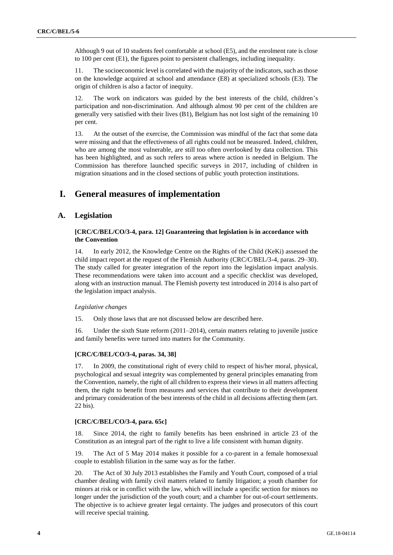Although 9 out of 10 students feel comfortable at school (E5), and the enrolment rate is close to 100 per cent (E1), the figures point to persistent challenges, including inequality.

11. The socioeconomic level is correlated with the majority of the indicators, such as those on the knowledge acquired at school and attendance (E8) at specialized schools (E3). The origin of children is also a factor of inequity.

The work on indicators was guided by the best interests of the child, children's participation and non-discrimination. And although almost 90 per cent of the children are generally very satisfied with their lives (B1), Belgium has not lost sight of the remaining 10 per cent.

13. At the outset of the exercise, the Commission was mindful of the fact that some data were missing and that the effectiveness of all rights could not be measured. Indeed, children, who are among the most vulnerable, are still too often overlooked by data collection. This has been highlighted, and as such refers to areas where action is needed in Belgium. The Commission has therefore launched specific surveys in 2017, including of children in migration situations and in the closed sections of public youth protection institutions.

## **I. General measures of implementation**

## **A. Legislation**

## **[CRC/C/BEL/CO/3-4, para. 12] Guaranteeing that legislation is in accordance with the Convention**

14. In early 2012, the Knowledge Centre on the Rights of the Child (KeKi) assessed the child impact report at the request of the Flemish Authority (CRC/C/BEL/3-4, paras. 29–30). The study called for greater integration of the report into the legislation impact analysis. These recommendations were taken into account and a specific checklist was developed, along with an instruction manual. The Flemish poverty test introduced in 2014 is also part of the legislation impact analysis.

#### *Legislative changes*

15. Only those laws that are not discussed below are described here.

16. Under the sixth State reform (2011–2014), certain matters relating to juvenile justice and family benefits were turned into matters for the Community.

#### **[CRC/C/BEL/CO/3-4, paras. 34, 38]**

17. In 2009, the constitutional right of every child to respect of his/her moral, physical, psychological and sexual integrity was complemented by general principles emanating from the Convention, namely, the right of all children to express their views in all matters affecting them, the right to benefit from measures and services that contribute to their development and primary consideration of the best interests of the child in all decisions affecting them (art. 22 bis).

#### **[CRC/C/BEL/CO/3-4, para. 65c]**

18. Since 2014, the right to family benefits has been enshrined in article 23 of the Constitution as an integral part of the right to live a life consistent with human dignity.

19. The Act of 5 May 2014 makes it possible for a co-parent in a female homosexual couple to establish filiation in the same way as for the father.

20. The Act of 30 July 2013 establishes the Family and Youth Court, composed of a trial chamber dealing with family civil matters related to family litigation; a youth chamber for minors at risk or in conflict with the law, which will include a specific section for minors no longer under the jurisdiction of the youth court; and a chamber for out-of-court settlements. The objective is to achieve greater legal certainty. The judges and prosecutors of this court will receive special training.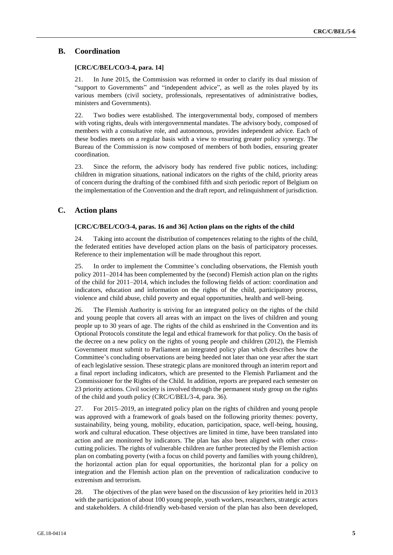## **B. Coordination**

### **[CRC/C/BEL/CO/3-4, para. 14]**

21. In June 2015, the Commission was reformed in order to clarify its dual mission of "support to Governments" and "independent advice", as well as the roles played by its various members (civil society, professionals, representatives of administrative bodies, ministers and Governments).

22. Two bodies were established. The intergovernmental body, composed of members with voting rights, deals with intergovernmental mandates. The advisory body, composed of members with a consultative role, and autonomous, provides independent advice. Each of these bodies meets on a regular basis with a view to ensuring greater policy synergy. The Bureau of the Commission is now composed of members of both bodies, ensuring greater coordination.

23. Since the reform, the advisory body has rendered five public notices, including: children in migration situations, national indicators on the rights of the child, priority areas of concern during the drafting of the combined fifth and sixth periodic report of Belgium on the implementation of the Convention and the draft report, and relinquishment of jurisdiction.

## **C. Action plans**

#### **[CRC/C/BEL/CO/3-4, paras. 16 and 36] Action plans on the rights of the child**

24. Taking into account the distribution of competences relating to the rights of the child, the federated entities have developed action plans on the basis of participatory processes. Reference to their implementation will be made throughout this report.

25. In order to implement the Committee's concluding observations, the Flemish youth policy 2011–2014 has been complemented by the (second) Flemish action plan on the rights of the child for 2011–2014, which includes the following fields of action: coordination and indicators, education and information on the rights of the child, participatory process, violence and child abuse, child poverty and equal opportunities, health and well-being.

26. The Flemish Authority is striving for an integrated policy on the rights of the child and young people that covers all areas with an impact on the lives of children and young people up to 30 years of age. The rights of the child as enshrined in the Convention and its Optional Protocols constitute the legal and ethical framework for that policy. On the basis of the decree on a new policy on the rights of young people and children (2012), the Flemish Government must submit to Parliament an integrated policy plan which describes how the Committee's concluding observations are being heeded not later than one year after the start of each legislative session. These strategic plans are monitored through an interim report and a final report including indicators, which are presented to the Flemish Parliament and the Commissioner for the Rights of the Child. In addition, reports are prepared each semester on 23 priority actions. Civil society is involved through the permanent study group on the rights of the child and youth policy (CRC/C/BEL/3-4, para. 36).

27. For 2015–2019, an integrated policy plan on the rights of children and young people was approved with a framework of goals based on the following priority themes: poverty, sustainability, being young, mobility, education, participation, space, well-being, housing, work and cultural education. These objectives are limited in time, have been translated into action and are monitored by indicators. The plan has also been aligned with other crosscutting policies. The rights of vulnerable children are further protected by the Flemish action plan on combating poverty (with a focus on child poverty and families with young children), the horizontal action plan for equal opportunities, the horizontal plan for a policy on integration and the Flemish action plan on the prevention of radicalization conducive to extremism and terrorism.

28. The objectives of the plan were based on the discussion of key priorities held in 2013 with the participation of about 100 young people, youth workers, researchers, strategic actors and stakeholders. A child-friendly web-based version of the plan has also been developed,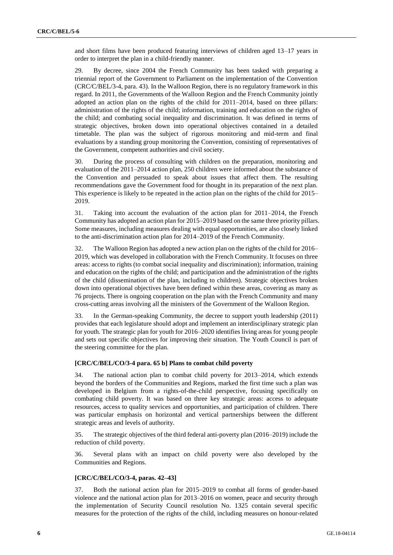and short films have been produced featuring interviews of children aged 13–17 years in order to interpret the plan in a child-friendly manner.

29. By decree, since 2004 the French Community has been tasked with preparing a triennial report of the Government to Parliament on the implementation of the Convention (CRC/C/BEL/3-4, para. 43). In the Walloon Region, there is no regulatory framework in this regard. In 2011, the Governments of the Walloon Region and the French Community jointly adopted an action plan on the rights of the child for 2011–2014, based on three pillars: administration of the rights of the child; information, training and education on the rights of the child; and combating social inequality and discrimination. It was defined in terms of strategic objectives, broken down into operational objectives contained in a detailed timetable. The plan was the subject of rigorous monitoring and mid-term and final evaluations by a standing group monitoring the Convention, consisting of representatives of the Government, competent authorities and civil society.

30. During the process of consulting with children on the preparation, monitoring and evaluation of the 2011–2014 action plan, 250 children were informed about the substance of the Convention and persuaded to speak about issues that affect them. The resulting recommendations gave the Government food for thought in its preparation of the next plan. This experience is likely to be repeated in the action plan on the rights of the child for 2015– 2019.

31. Taking into account the evaluation of the action plan for 2011–2014, the French Community has adopted an action plan for 2015–2019 based on the same three priority pillars. Some measures, including measures dealing with equal opportunities, are also closely linked to the anti-discrimination action plan for 2014–2019 of the French Community.

32. The Walloon Region has adopted a new action plan on the rights of the child for 2016– 2019, which was developed in collaboration with the French Community. It focuses on three areas: access to rights (to combat social inequality and discrimination); information, training and education on the rights of the child; and participation and the administration of the rights of the child (dissemination of the plan, including to children). Strategic objectives broken down into operational objectives have been defined within these areas, covering as many as 76 projects. There is ongoing cooperation on the plan with the French Community and many cross-cutting areas involving all the ministers of the Government of the Walloon Region.

33. In the German-speaking Community, the decree to support youth leadership (2011) provides that each legislature should adopt and implement an interdisciplinary strategic plan for youth. The strategic plan for youth for 2016–2020 identifies living areas for young people and sets out specific objectives for improving their situation. The Youth Council is part of the steering committee for the plan.

### **[CRC/C/BEL/CO/3-4 para. 65 b] Plans to combat child poverty**

34. The national action plan to combat child poverty for 2013–2014, which extends beyond the borders of the Communities and Regions, marked the first time such a plan was developed in Belgium from a rights-of-the-child perspective, focusing specifically on combating child poverty. It was based on three key strategic areas: access to adequate resources, access to quality services and opportunities, and participation of children. There was particular emphasis on horizontal and vertical partnerships between the different strategic areas and levels of authority.

35. The strategic objectives of the third federal anti-poverty plan (2016–2019) include the reduction of child poverty.

36. Several plans with an impact on child poverty were also developed by the Communities and Regions.

#### **[CRC/C/BEL/CO/3-4, paras. 42–43]**

37. Both the national action plan for 2015–2019 to combat all forms of gender-based violence and the national action plan for 2013–2016 on women, peace and security through the implementation of Security Council resolution No. 1325 contain several specific measures for the protection of the rights of the child, including measures on honour-related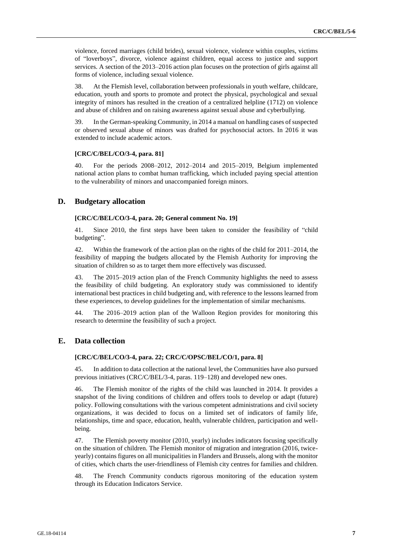violence, forced marriages (child brides), sexual violence, violence within couples, victims of "loverboys", divorce, violence against children, equal access to justice and support services. A section of the 2013–2016 action plan focuses on the protection of girls against all forms of violence, including sexual violence.

38. At the Flemish level, collaboration between professionals in youth welfare, childcare, education, youth and sports to promote and protect the physical, psychological and sexual integrity of minors has resulted in the creation of a centralized helpline (1712) on violence and abuse of children and on raising awareness against sexual abuse and cyberbullying.

39. In the German-speaking Community, in 2014 a manual on handling cases of suspected or observed sexual abuse of minors was drafted for psychosocial actors. In 2016 it was extended to include academic actors.

#### **[CRC/C/BEL/CO/3-4, para. 81]**

40. For the periods 2008–2012, 2012–2014 and 2015–2019, Belgium implemented national action plans to combat human trafficking, which included paying special attention to the vulnerability of minors and unaccompanied foreign minors.

## **D. Budgetary allocation**

#### **[CRC/C/BEL/CO/3-4, para. 20; General comment No. 19]**

41. Since 2010, the first steps have been taken to consider the feasibility of "child budgeting".

42. Within the framework of the action plan on the rights of the child for 2011–2014, the feasibility of mapping the budgets allocated by the Flemish Authority for improving the situation of children so as to target them more effectively was discussed.

43. The 2015–2019 action plan of the French Community highlights the need to assess the feasibility of child budgeting. An exploratory study was commissioned to identify international best practices in child budgeting and, with reference to the lessons learned from these experiences, to develop guidelines for the implementation of similar mechanisms.

44. The 2016–2019 action plan of the Walloon Region provides for monitoring this research to determine the feasibility of such a project.

## **E. Data collection**

## **[CRC/C/BEL/CO/3-4, para. 22; CRC/C/OPSC/BEL/CO/1, para. 8]**

45. In addition to data collection at the national level, the Communities have also pursued previous initiatives (CRC/C/BEL/3-4, paras. 119–128) and developed new ones.

46. The Flemish monitor of the rights of the child was launched in 2014. It provides a snapshot of the living conditions of children and offers tools to develop or adapt (future) policy. Following consultations with the various competent administrations and civil society organizations, it was decided to focus on a limited set of indicators of family life, relationships, time and space, education, health, vulnerable children, participation and wellbeing.

47. The Flemish poverty monitor (2010, yearly) includes indicators focusing specifically on the situation of children. The Flemish monitor of migration and integration (2016, twiceyearly) contains figures on all municipalities in Flanders and Brussels, along with the monitor of cities, which charts the user-friendliness of Flemish city centres for families and children.

48. The French Community conducts rigorous monitoring of the education system through its Education Indicators Service.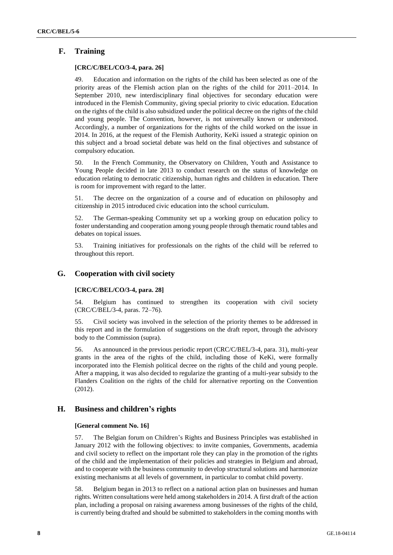## **F. Training**

### **[CRC/C/BEL/CO/3-4, para. 26]**

49. Education and information on the rights of the child has been selected as one of the priority areas of the Flemish action plan on the rights of the child for 2011–2014. In September 2010, new interdisciplinary final objectives for secondary education were introduced in the Flemish Community, giving special priority to civic education. Education on the rights of the child is also subsidized under the political decree on the rights of the child and young people. The Convention, however, is not universally known or understood. Accordingly, a number of organizations for the rights of the child worked on the issue in 2014. In 2016, at the request of the Flemish Authority, KeKi issued a strategic opinion on this subject and a broad societal debate was held on the final objectives and substance of compulsory education.

50. In the French Community, the Observatory on Children, Youth and Assistance to Young People decided in late 2013 to conduct research on the status of knowledge on education relating to democratic citizenship, human rights and children in education. There is room for improvement with regard to the latter.

51. The decree on the organization of a course and of education on philosophy and citizenship in 2015 introduced civic education into the school curriculum.

52. The German-speaking Community set up a working group on education policy to foster understanding and cooperation among young people through thematic round tables and debates on topical issues.

53. Training initiatives for professionals on the rights of the child will be referred to throughout this report.

## **G. Cooperation with civil society**

#### **[CRC/C/BEL/CO/3-4, para. 28]**

54. Belgium has continued to strengthen its cooperation with civil society (CRC/C/BEL/3-4, paras. 72–76).

55. Civil society was involved in the selection of the priority themes to be addressed in this report and in the formulation of suggestions on the draft report, through the advisory body to the Commission (supra).

56. As announced in the previous periodic report (CRC/C/BEL/3-4, para. 31), multi-year grants in the area of the rights of the child, including those of KeKi, were formally incorporated into the Flemish political decree on the rights of the child and young people. After a mapping, it was also decided to regularize the granting of a multi-year subsidy to the Flanders Coalition on the rights of the child for alternative reporting on the Convention (2012).

## **H. Business and children's rights**

#### **[General comment No. 16]**

57. The Belgian forum on Children's Rights and Business Principles was established in January 2012 with the following objectives: to invite companies, Governments, academia and civil society to reflect on the important role they can play in the promotion of the rights of the child and the implementation of their policies and strategies in Belgium and abroad, and to cooperate with the business community to develop structural solutions and harmonize existing mechanisms at all levels of government, in particular to combat child poverty.

58. Belgium began in 2013 to reflect on a national action plan on businesses and human rights. Written consultations were held among stakeholders in 2014. A first draft of the action plan, including a proposal on raising awareness among businesses of the rights of the child, is currently being drafted and should be submitted to stakeholders in the coming months with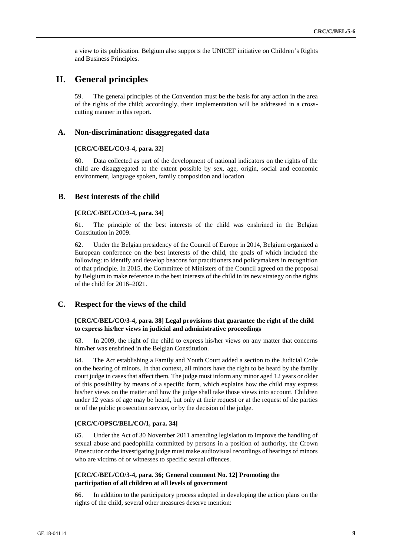a view to its publication. Belgium also supports the UNICEF initiative on Children's Rights and Business Principles.

## **II. General principles**

59. The general principles of the Convention must be the basis for any action in the area of the rights of the child; accordingly, their implementation will be addressed in a crosscutting manner in this report.

## **A. Non-discrimination: disaggregated data**

#### **[CRC/C/BEL/CO/3-4, para. 32]**

60. Data collected as part of the development of national indicators on the rights of the child are disaggregated to the extent possible by sex, age, origin, social and economic environment, language spoken, family composition and location.

## **B. Best interests of the child**

#### **[CRC/C/BEL/CO/3-4, para. 34]**

61. The principle of the best interests of the child was enshrined in the Belgian Constitution in 2009.

62. Under the Belgian presidency of the Council of Europe in 2014, Belgium organized a European conference on the best interests of the child, the goals of which included the following: to identify and develop beacons for practitioners and policymakers in recognition of that principle. In 2015, the Committee of Ministers of the Council agreed on the proposal by Belgium to make reference to the best interests of the child in its new strategy on the rights of the child for 2016–2021.

## **C. Respect for the views of the child**

#### **[CRC/C/BEL/CO/3-4, para. 38] Legal provisions that guarantee the right of the child to express his/her views in judicial and administrative proceedings**

63. In 2009, the right of the child to express his/her views on any matter that concerns him/her was enshrined in the Belgian Constitution.

64. The Act establishing a Family and Youth Court added a section to the Judicial Code on the hearing of minors. In that context, all minors have the right to be heard by the family court judge in cases that affect them. The judge must inform any minor aged 12 years or older of this possibility by means of a specific form, which explains how the child may express his/her views on the matter and how the judge shall take those views into account. Children under 12 years of age may be heard, but only at their request or at the request of the parties or of the public prosecution service, or by the decision of the judge.

## **[CRC/C/OPSC/BEL/CO/1, para. 34]**

65. Under the Act of 30 November 2011 amending legislation to improve the handling of sexual abuse and paedophilia committed by persons in a position of authority, the Crown Prosecutor or the investigating judge must make audiovisual recordings of hearings of minors who are victims of or witnesses to specific sexual offences.

#### **[CRC/C/BEL/CO/3-4, para. 36; General comment No. 12] Promoting the participation of all children at all levels of government**

66. In addition to the participatory process adopted in developing the action plans on the rights of the child, several other measures deserve mention: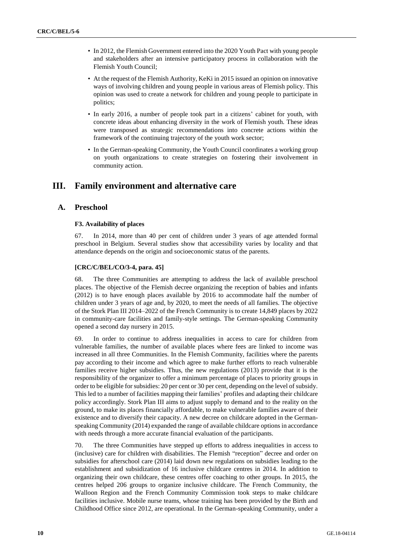- In 2012, the Flemish Government entered into the 2020 Youth Pact with young people and stakeholders after an intensive participatory process in collaboration with the Flemish Youth Council;
- At the request of the Flemish Authority, KeKi in 2015 issued an opinion on innovative ways of involving children and young people in various areas of Flemish policy. This opinion was used to create a network for children and young people to participate in politics;
- In early 2016, a number of people took part in a citizens' cabinet for youth, with concrete ideas about enhancing diversity in the work of Flemish youth. These ideas were transposed as strategic recommendations into concrete actions within the framework of the continuing trajectory of the youth work sector;
- In the German-speaking Community, the Youth Council coordinates a working group on youth organizations to create strategies on fostering their involvement in community action.

## **III. Family environment and alternative care**

## **A. Preschool**

## **F3. Availability of places**

67. In 2014, more than 40 per cent of children under 3 years of age attended formal preschool in Belgium. Several studies show that accessibility varies by locality and that attendance depends on the origin and socioeconomic status of the parents.

#### **[CRC/C/BEL/CO/3-4, para. 45]**

68. The three Communities are attempting to address the lack of available preschool places. The objective of the Flemish decree organizing the reception of babies and infants (2012) is to have enough places available by 2016 to accommodate half the number of children under 3 years of age and, by 2020, to meet the needs of all families. The objective of the Stork Plan III 2014–2022 of the French Community is to create 14,849 places by 2022 in community-care facilities and family-style settings. The German-speaking Community opened a second day nursery in 2015.

69. In order to continue to address inequalities in access to care for children from vulnerable families, the number of available places where fees are linked to income was increased in all three Communities. In the Flemish Community, facilities where the parents pay according to their income and which agree to make further efforts to reach vulnerable families receive higher subsidies. Thus, the new regulations (2013) provide that it is the responsibility of the organizer to offer a minimum percentage of places to priority groups in order to be eligible for subsidies: 20 per cent or 30 per cent, depending on the level of subsidy. This led to a number of facilities mapping their families' profiles and adapting their childcare policy accordingly. Stork Plan III aims to adjust supply to demand and to the reality on the ground, to make its places financially affordable, to make vulnerable families aware of their existence and to diversify their capacity. A new decree on childcare adopted in the Germanspeaking Community (2014) expanded the range of available childcare options in accordance with needs through a more accurate financial evaluation of the participants.

70. The three Communities have stepped up efforts to address inequalities in access to (inclusive) care for children with disabilities. The Flemish "reception" decree and order on subsidies for afterschool care (2014) laid down new regulations on subsidies leading to the establishment and subsidization of 16 inclusive childcare centres in 2014. In addition to organizing their own childcare, these centres offer coaching to other groups. In 2015, the centres helped 206 groups to organize inclusive childcare. The French Community, the Walloon Region and the French Community Commission took steps to make childcare facilities inclusive. Mobile nurse teams, whose training has been provided by the Birth and Childhood Office since 2012, are operational. In the German-speaking Community, under a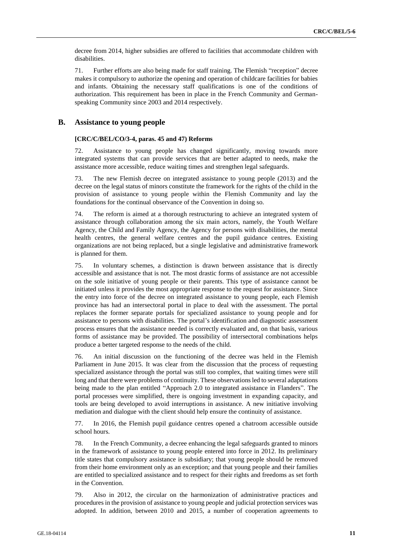decree from 2014, higher subsidies are offered to facilities that accommodate children with disabilities.

71. Further efforts are also being made for staff training. The Flemish "reception" decree makes it compulsory to authorize the opening and operation of childcare facilities for babies and infants. Obtaining the necessary staff qualifications is one of the conditions of authorization. This requirement has been in place in the French Community and Germanspeaking Community since 2003 and 2014 respectively.

## **B. Assistance to young people**

#### **[CRC/C/BEL/CO/3-4, paras. 45 and 47) Reforms**

72. Assistance to young people has changed significantly, moving towards more integrated systems that can provide services that are better adapted to needs, make the assistance more accessible, reduce waiting times and strengthen legal safeguards.

73. The new Flemish decree on integrated assistance to young people (2013) and the decree on the legal status of minors constitute the framework for the rights of the child in the provision of assistance to young people within the Flemish Community and lay the foundations for the continual observance of the Convention in doing so.

74. The reform is aimed at a thorough restructuring to achieve an integrated system of assistance through collaboration among the six main actors, namely, the Youth Welfare Agency, the Child and Family Agency, the Agency for persons with disabilities, the mental health centres, the general welfare centres and the pupil guidance centres. Existing organizations are not being replaced, but a single legislative and administrative framework is planned for them.

75. In voluntary schemes, a distinction is drawn between assistance that is directly accessible and assistance that is not. The most drastic forms of assistance are not accessible on the sole initiative of young people or their parents. This type of assistance cannot be initiated unless it provides the most appropriate response to the request for assistance. Since the entry into force of the decree on integrated assistance to young people, each Flemish province has had an intersectoral portal in place to deal with the assessment. The portal replaces the former separate portals for specialized assistance to young people and for assistance to persons with disabilities. The portal's identification and diagnostic assessment process ensures that the assistance needed is correctly evaluated and, on that basis, various forms of assistance may be provided. The possibility of intersectoral combinations helps produce a better targeted response to the needs of the child.

76. An initial discussion on the functioning of the decree was held in the Flemish Parliament in June 2015. It was clear from the discussion that the process of requesting specialized assistance through the portal was still too complex, that waiting times were still long and that there were problems of continuity. These observations led to several adaptations being made to the plan entitled "Approach 2.0 to integrated assistance in Flanders". The portal processes were simplified, there is ongoing investment in expanding capacity, and tools are being developed to avoid interruptions in assistance. A new initiative involving mediation and dialogue with the client should help ensure the continuity of assistance.

77. In 2016, the Flemish pupil guidance centres opened a chatroom accessible outside school hours.

78. In the French Community, a decree enhancing the legal safeguards granted to minors in the framework of assistance to young people entered into force in 2012. Its preliminary title states that compulsory assistance is subsidiary; that young people should be removed from their home environment only as an exception; and that young people and their families are entitled to specialized assistance and to respect for their rights and freedoms as set forth in the Convention.

79. Also in 2012, the circular on the harmonization of administrative practices and procedures in the provision of assistance to young people and judicial protection services was adopted. In addition, between 2010 and 2015, a number of cooperation agreements to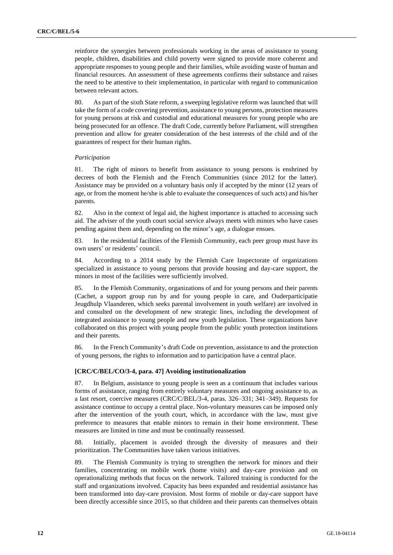reinforce the synergies between professionals working in the areas of assistance to young people, children, disabilities and child poverty were signed to provide more coherent and appropriate responses to young people and their families, while avoiding waste of human and financial resources. An assessment of these agreements confirms their substance and raises the need to be attentive to their implementation, in particular with regard to communication between relevant actors.

80. As part of the sixth State reform, a sweeping legislative reform was launched that will take the form of a code covering prevention, assistance to young persons, protection measures for young persons at risk and custodial and educational measures for young people who are being prosecuted for an offence. The draft Code, currently before Parliament, will strengthen prevention and allow for greater consideration of the best interests of the child and of the guarantees of respect for their human rights.

#### *Participation*

81. The right of minors to benefit from assistance to young persons is enshrined by decrees of both the Flemish and the French Communities (since 2012 for the latter). Assistance may be provided on a voluntary basis only if accepted by the minor (12 years of age, or from the moment he/she is able to evaluate the consequences of such acts) and his/her parents.

82. Also in the context of legal aid, the highest importance is attached to accessing such aid. The adviser of the youth court social service always meets with minors who have cases pending against them and, depending on the minor's age, a dialogue ensues.

83. In the residential facilities of the Flemish Community, each peer group must have its own users' or residents' council.

84. According to a 2014 study by the Flemish Care Inspectorate of organizations specialized in assistance to young persons that provide housing and day-care support, the minors in most of the facilities were sufficiently involved.

85. In the Flemish Community, organizations of and for young persons and their parents (Cachet, a support group run by and for young people in care, and Ouderparticipatie Jeugdhulp Vlaanderen, which seeks parental involvement in youth welfare) are involved in and consulted on the development of new strategic lines, including the development of integrated assistance to young people and new youth legislation. These organizations have collaborated on this project with young people from the public youth protection institutions and their parents.

86. In the French Community's draft Code on prevention, assistance to and the protection of young persons, the rights to information and to participation have a central place.

#### **[CRC/C/BEL/CO/3-4, para. 47] Avoiding institutionalization**

87. In Belgium, assistance to young people is seen as a continuum that includes various forms of assistance, ranging from entirely voluntary measures and ongoing assistance to, as a last resort, coercive measures (CRC/C/BEL/3-4, paras. 326–331; 341–349). Requests for assistance continue to occupy a central place. Non-voluntary measures can be imposed only after the intervention of the youth court, which, in accordance with the law, must give preference to measures that enable minors to remain in their home environment. These measures are limited in time and must be continually reassessed.

88. Initially, placement is avoided through the diversity of measures and their prioritization. The Communities have taken various initiatives.

89. The Flemish Community is trying to strengthen the network for minors and their families, concentrating on mobile work (home visits) and day-care provision and on operationalizing methods that focus on the network. Tailored training is conducted for the staff and organizations involved. Capacity has been expanded and residential assistance has been transformed into day-care provision. Most forms of mobile or day-care support have been directly accessible since 2015, so that children and their parents can themselves obtain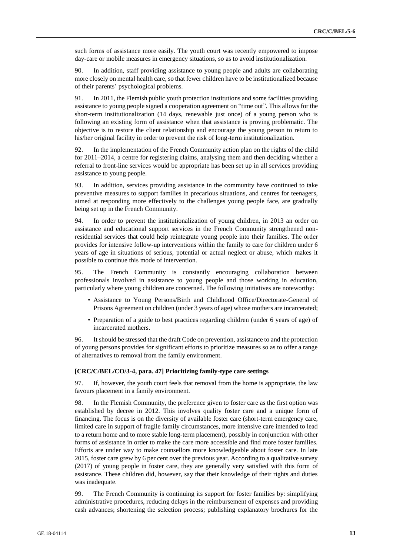such forms of assistance more easily. The youth court was recently empowered to impose day-care or mobile measures in emergency situations, so as to avoid institutionalization.

90. In addition, staff providing assistance to young people and adults are collaborating more closely on mental health care, so that fewer children have to be institutionalized because of their parents' psychological problems.

91. In 2011, the Flemish public youth protection institutions and some facilities providing assistance to young people signed a cooperation agreement on "time out". This allows for the short-term institutionalization (14 days, renewable just once) of a young person who is following an existing form of assistance when that assistance is proving problematic. The objective is to restore the client relationship and encourage the young person to return to his/her original facility in order to prevent the risk of long-term institutionalization.

92. In the implementation of the French Community action plan on the rights of the child for 2011–2014, a centre for registering claims, analysing them and then deciding whether a referral to front-line services would be appropriate has been set up in all services providing assistance to young people.

93. In addition, services providing assistance in the community have continued to take preventive measures to support families in precarious situations, and centres for teenagers, aimed at responding more effectively to the challenges young people face, are gradually being set up in the French Community.

94. In order to prevent the institutionalization of young children, in 2013 an order on assistance and educational support services in the French Community strengthened nonresidential services that could help reintegrate young people into their families. The order provides for intensive follow-up interventions within the family to care for children under 6 years of age in situations of serious, potential or actual neglect or abuse, which makes it possible to continue this mode of intervention.

95. The French Community is constantly encouraging collaboration between professionals involved in assistance to young people and those working in education, particularly where young children are concerned. The following initiatives are noteworthy:

- Assistance to Young Persons/Birth and Childhood Office/Directorate-General of Prisons Agreement on children (under 3 years of age) whose mothers are incarcerated;
- Preparation of a guide to best practices regarding children (under 6 years of age) of incarcerated mothers.

96. It should be stressed that the draft Code on prevention, assistance to and the protection of young persons provides for significant efforts to prioritize measures so as to offer a range of alternatives to removal from the family environment.

#### **[CRC/C/BEL/CO/3-4, para. 47] Prioritizing family-type care settings**

97. If, however, the youth court feels that removal from the home is appropriate, the law favours placement in a family environment.

98. In the Flemish Community, the preference given to foster care as the first option was established by decree in 2012. This involves quality foster care and a unique form of financing. The focus is on the diversity of available foster care (short-term emergency care, limited care in support of fragile family circumstances, more intensive care intended to lead to a return home and to more stable long-term placement), possibly in conjunction with other forms of assistance in order to make the care more accessible and find more foster families. Efforts are under way to make counsellors more knowledgeable about foster care. In late 2015, foster care grew by 6 per cent over the previous year. According to a qualitative survey (2017) of young people in foster care, they are generally very satisfied with this form of assistance. These children did, however, say that their knowledge of their rights and duties was inadequate.

99. The French Community is continuing its support for foster families by: simplifying administrative procedures, reducing delays in the reimbursement of expenses and providing cash advances; shortening the selection process; publishing explanatory brochures for the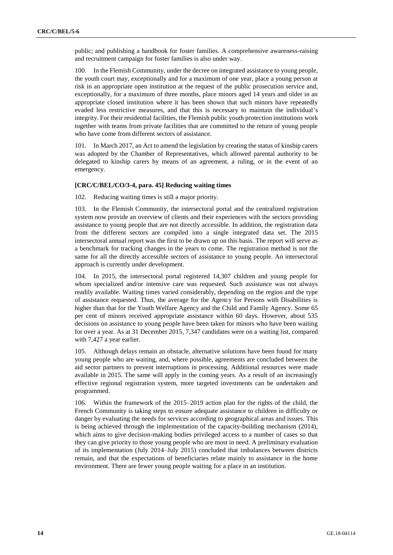public; and publishing a handbook for foster families. A comprehensive awareness-raising and recruitment campaign for foster families is also under way.

100. In the Flemish Community, under the decree on integrated assistance to young people, the youth court may, exceptionally and for a maximum of one year, place a young person at risk in an appropriate open institution at the request of the public prosecution service and, exceptionally, for a maximum of three months, place minors aged 14 years and older in an appropriate closed institution where it has been shown that such minors have repeatedly evaded less restrictive measures, and that this is necessary to maintain the individual's integrity. For their residential facilities, the Flemish public youth protection institutions work together with teams from private facilities that are committed to the return of young people who have come from different sectors of assistance.

101. In March 2017, an Act to amend the legislation by creating the status of kinship carers was adopted by the Chamber of Representatives, which allowed parental authority to be delegated to kinship carers by means of an agreement, a ruling, or in the event of an emergency.

## **[CRC/C/BEL/CO/3-4, para. 45] Reducing waiting times**

102. Reducing waiting times is still a major priority.

103. In the Flemish Community, the intersectoral portal and the centralized registration system now provide an overview of clients and their experiences with the sectors providing assistance to young people that are not directly accessible. In addition, the registration data from the different sectors are compiled into a single integrated data set. The 2015 intersectoral annual report was the first to be drawn up on this basis. The report will serve as a benchmark for tracking changes in the years to come. The registration method is not the same for all the directly accessible sectors of assistance to young people. An intersectoral approach is currently under development.

104. In 2015, the intersectoral portal registered 14,307 children and young people for whom specialized and/or intensive care was requested. Such assistance was not always readily available. Waiting times varied considerably, depending on the region and the type of assistance requested. Thus, the average for the Agency for Persons with Disabilities is higher than that for the Youth Welfare Agency and the Child and Family Agency. Some 65 per cent of minors received appropriate assistance within 60 days. However, about 535 decisions on assistance to young people have been taken for minors who have been waiting for over a year. As at 31 December 2015, 7,347 candidates were on a waiting list, compared with 7,427 a year earlier.

105. Although delays remain an obstacle, alternative solutions have been found for many young people who are waiting, and, where possible, agreements are concluded between the aid sector partners to prevent interruptions in processing. Additional resources were made available in 2015. The same will apply in the coming years. As a result of an increasingly effective regional registration system, more targeted investments can be undertaken and programmed.

106. Within the framework of the 2015–2019 action plan for the rights of the child, the French Community is taking steps to ensure adequate assistance to children in difficulty or danger by evaluating the needs for services according to geographical areas and issues. This is being achieved through the implementation of the capacity-building mechanism (2014), which aims to give decision-making bodies privileged access to a number of cases so that they can give priority to those young people who are most in need. A preliminary evaluation of its implementation (July 2014–July 2015) concluded that imbalances between districts remain, and that the expectations of beneficiaries relate mainly to assistance in the home environment. There are fewer young people waiting for a place in an institution.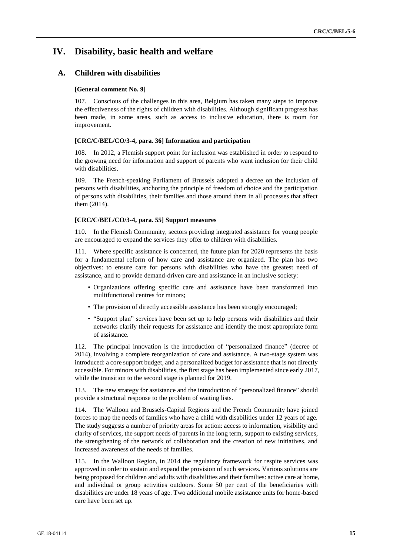## **IV. Disability, basic health and welfare**

## **A. Children with disabilities**

#### **[General comment No. 9]**

107. Conscious of the challenges in this area, Belgium has taken many steps to improve the effectiveness of the rights of children with disabilities. Although significant progress has been made, in some areas, such as access to inclusive education, there is room for improvement.

#### **[CRC/C/BEL/CO/3-4, para. 36] Information and participation**

108. In 2012, a Flemish support point for inclusion was established in order to respond to the growing need for information and support of parents who want inclusion for their child with disabilities.

109. The French-speaking Parliament of Brussels adopted a decree on the inclusion of persons with disabilities, anchoring the principle of freedom of choice and the participation of persons with disabilities, their families and those around them in all processes that affect them (2014).

#### **[CRC/C/BEL/CO/3-4, para. 55] Support measures**

110. In the Flemish Community, sectors providing integrated assistance for young people are encouraged to expand the services they offer to children with disabilities.

111. Where specific assistance is concerned, the future plan for 2020 represents the basis for a fundamental reform of how care and assistance are organized. The plan has two objectives: to ensure care for persons with disabilities who have the greatest need of assistance, and to provide demand-driven care and assistance in an inclusive society:

- Organizations offering specific care and assistance have been transformed into multifunctional centres for minors;
- The provision of directly accessible assistance has been strongly encouraged;
- "Support plan" services have been set up to help persons with disabilities and their networks clarify their requests for assistance and identify the most appropriate form of assistance.

112. The principal innovation is the introduction of "personalized finance" (decree of 2014), involving a complete reorganization of care and assistance. A two-stage system was introduced: a core support budget, and a personalized budget for assistance that is not directly accessible. For minors with disabilities, the first stage has been implemented since early 2017, while the transition to the second stage is planned for 2019.

113. The new strategy for assistance and the introduction of "personalized finance" should provide a structural response to the problem of waiting lists.

114. The Walloon and Brussels-Capital Regions and the French Community have joined forces to map the needs of families who have a child with disabilities under 12 years of age. The study suggests a number of priority areas for action: access to information, visibility and clarity of services, the support needs of parents in the long term, support to existing services, the strengthening of the network of collaboration and the creation of new initiatives, and increased awareness of the needs of families.

115. In the Walloon Region, in 2014 the regulatory framework for respite services was approved in order to sustain and expand the provision of such services. Various solutions are being proposed for children and adults with disabilities and their families: active care at home, and individual or group activities outdoors. Some 50 per cent of the beneficiaries with disabilities are under 18 years of age. Two additional mobile assistance units for home-based care have been set up.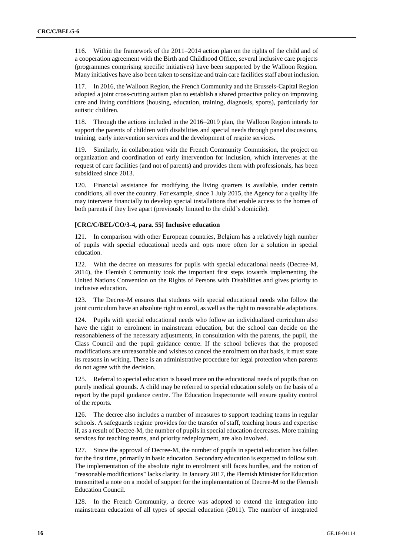116. Within the framework of the 2011–2014 action plan on the rights of the child and of a cooperation agreement with the Birth and Childhood Office, several inclusive care projects (programmes comprising specific initiatives) have been supported by the Walloon Region. Many initiatives have also been taken to sensitize and train care facilities staff about inclusion.

117. In 2016, the Walloon Region, the French Community and the Brussels-Capital Region adopted a joint cross-cutting autism plan to establish a shared proactive policy on improving care and living conditions (housing, education, training, diagnosis, sports), particularly for autistic children.

118. Through the actions included in the 2016–2019 plan, the Walloon Region intends to support the parents of children with disabilities and special needs through panel discussions, training, early intervention services and the development of respite services.

119. Similarly, in collaboration with the French Community Commission, the project on organization and coordination of early intervention for inclusion, which intervenes at the request of care facilities (and not of parents) and provides them with professionals, has been subsidized since 2013.

120. Financial assistance for modifying the living quarters is available, under certain conditions, all over the country. For example, since 1 July 2015, the Agency for a quality life may intervene financially to develop special installations that enable access to the homes of both parents if they live apart (previously limited to the child's domicile).

#### **[CRC/C/BEL/CO/3-4, para. 55] Inclusive education**

121. In comparison with other European countries, Belgium has a relatively high number of pupils with special educational needs and opts more often for a solution in special education.

122. With the decree on measures for pupils with special educational needs (Decree-M, 2014), the Flemish Community took the important first steps towards implementing the United Nations Convention on the Rights of Persons with Disabilities and gives priority to inclusive education.

123. The Decree-M ensures that students with special educational needs who follow the joint curriculum have an absolute right to enrol, as well as the right to reasonable adaptations.

124. Pupils with special educational needs who follow an individualized curriculum also have the right to enrolment in mainstream education, but the school can decide on the reasonableness of the necessary adjustments, in consultation with the parents, the pupil, the Class Council and the pupil guidance centre. If the school believes that the proposed modifications are unreasonable and wishes to cancel the enrolment on that basis, it must state its reasons in writing. There is an administrative procedure for legal protection when parents do not agree with the decision.

125. Referral to special education is based more on the educational needs of pupils than on purely medical grounds. A child may be referred to special education solely on the basis of a report by the pupil guidance centre. The Education Inspectorate will ensure quality control of the reports.

126. The decree also includes a number of measures to support teaching teams in regular schools. A safeguards regime provides for the transfer of staff, teaching hours and expertise if, as a result of Decree-M, the number of pupils in special education decreases. More training services for teaching teams, and priority redeployment, are also involved.

127. Since the approval of Decree-M, the number of pupils in special education has fallen for the first time, primarily in basic education. Secondary education is expected to follow suit. The implementation of the absolute right to enrolment still faces hurdles, and the notion of "reasonable modifications" lacks clarity. In January 2017, the Flemish Minister for Education transmitted a note on a model of support for the implementation of Decree-M to the Flemish Education Council.

128. In the French Community, a decree was adopted to extend the integration into mainstream education of all types of special education (2011). The number of integrated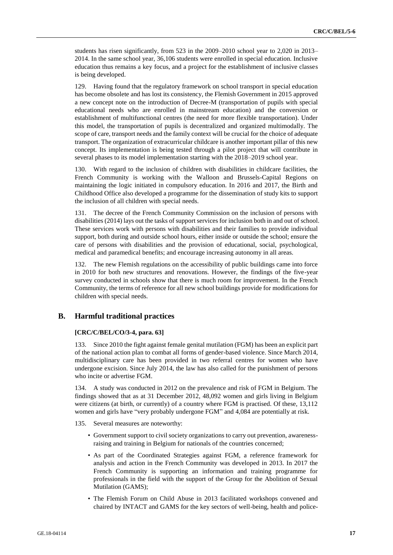students has risen significantly, from 523 in the 2009–2010 school year to 2,020 in 2013– 2014. In the same school year, 36,106 students were enrolled in special education. Inclusive education thus remains a key focus, and a project for the establishment of inclusive classes is being developed.

129. Having found that the regulatory framework on school transport in special education has become obsolete and has lost its consistency, the Flemish Government in 2015 approved a new concept note on the introduction of Decree-M (transportation of pupils with special educational needs who are enrolled in mainstream education) and the conversion or establishment of multifunctional centres (the need for more flexible transportation). Under this model, the transportation of pupils is decentralized and organized multimodally. The scope of care, transport needs and the family context will be crucial for the choice of adequate transport. The organization of extracurricular childcare is another important pillar of this new concept. Its implementation is being tested through a pilot project that will contribute in several phases to its model implementation starting with the 2018–2019 school year.

130. With regard to the inclusion of children with disabilities in childcare facilities, the French Community is working with the Walloon and Brussels-Capital Regions on maintaining the logic initiated in compulsory education. In 2016 and 2017, the Birth and Childhood Office also developed a programme for the dissemination of study kits to support the inclusion of all children with special needs.

131. The decree of the French Community Commission on the inclusion of persons with disabilities (2014) lays out the tasks of support services for inclusion both in and out of school. These services work with persons with disabilities and their families to provide individual support, both during and outside school hours, either inside or outside the school; ensure the care of persons with disabilities and the provision of educational, social, psychological, medical and paramedical benefits; and encourage increasing autonomy in all areas.

132. The new Flemish regulations on the accessibility of public buildings came into force in 2010 for both new structures and renovations. However, the findings of the five-year survey conducted in schools show that there is much room for improvement. In the French Community, the terms of reference for all new school buildings provide for modifications for children with special needs.

## **B. Harmful traditional practices**

#### **[CRC/C/BEL/CO/3-4, para. 63]**

133. Since 2010 the fight against female genital mutilation (FGM) has been an explicit part of the national action plan to combat all forms of gender-based violence. Since March 2014, multidisciplinary care has been provided in two referral centres for women who have undergone excision. Since July 2014, the law has also called for the punishment of persons who incite or advertise FGM.

134. A study was conducted in 2012 on the prevalence and risk of FGM in Belgium. The findings showed that as at 31 December 2012, 48,092 women and girls living in Belgium were citizens (at birth, or currently) of a country where FGM is practised. Of these, 13,112 women and girls have "very probably undergone FGM" and 4,084 are potentially at risk.

- 135. Several measures are noteworthy:
	- Government support to civil society organizations to carry out prevention, awarenessraising and training in Belgium for nationals of the countries concerned;
	- As part of the Coordinated Strategies against FGM, a reference framework for analysis and action in the French Community was developed in 2013. In 2017 the French Community is supporting an information and training programme for professionals in the field with the support of the Group for the Abolition of Sexual Mutilation (GAMS);
	- The Flemish Forum on Child Abuse in 2013 facilitated workshops convened and chaired by INTACT and GAMS for the key sectors of well-being, health and police-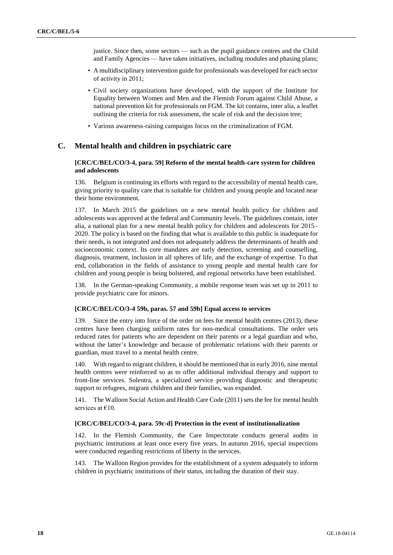justice. Since then, some sectors — such as the pupil guidance centres and the Child and Family Agencies — have taken initiatives, including modules and phasing plans;

- A multidisciplinary intervention guide for professionals was developed for each sector of activity in 2011;
- Civil society organizations have developed, with the support of the Institute for Equality between Women and Men and the Flemish Forum against Child Abuse, a national prevention kit for professionals on FGM. The kit contains, inter alia, a leaflet outlining the criteria for risk assessment, the scale of risk and the decision tree;
- Various awareness-raising campaigns focus on the criminalization of FGM.

## **C. Mental health and children in psychiatric care**

## **[CRC/C/BEL/CO/3-4, para. 59] Reform of the mental health-care system for children and adolescents**

136. Belgium is continuing its efforts with regard to the accessibility of mental health care, giving priority to quality care that is suitable for children and young people and located near their home environment.

137. In March 2015 the guidelines on a new mental health policy for children and adolescents was approved at the federal and Community levels. The guidelines contain, inter alia, a national plan for a new mental health policy for children and adolescents for 2015– 2020. The policy is based on the finding that what is available to this public is inadequate for their needs, is not integrated and does not adequately address the determinants of health and socioeconomic context. Its core mandates are early detection, screening and counselling, diagnosis, treatment, inclusion in all spheres of life, and the exchange of expertise. To that end, collaboration in the fields of assistance to young people and mental health care for children and young people is being bolstered, and regional networks have been established.

138. In the German-speaking Community, a mobile response team was set up in 2011 to provide psychiatric care for minors.

#### **[CRC/C/BEL/CO/3-4 59b, paras. 57 and 59b] Equal access to services**

139. Since the entry into force of the order on fees for mental health centres (2013), these centres have been charging uniform rates for non-medical consultations. The order sets reduced rates for patients who are dependent on their parents or a legal guardian and who, without the latter's knowledge and because of problematic relations with their parents or guardian, must travel to a mental health centre.

140. With regard to migrant children, it should be mentioned that in early 2016, nine mental health centres were reinforced so as to offer additional individual therapy and support to front-line services. Solentra, a specialized service providing diagnostic and therapeutic support to refugees, migrant children and their families, was expanded.

141. The Walloon Social Action and Health Care Code (2011) sets the fee for mental health services at €10.

#### **[CRC/C/BEL/CO/3-4, para. 59c-d] Protection in the event of institutionalization**

142. In the Flemish Community, the Care Inspectorate conducts general audits in psychiatric institutions at least once every five years. In autumn 2016, special inspections were conducted regarding restrictions of liberty in the services.

143. The Walloon Region provides for the establishment of a system adequately to inform children in psychiatric institutions of their status, including the duration of their stay.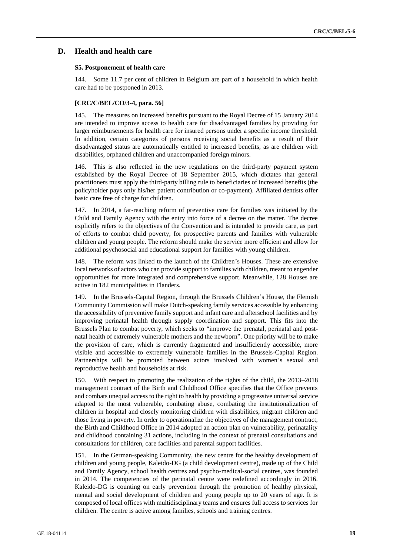## **D. Health and health care**

#### **S5. Postponement of health care**

144. Some 11.7 per cent of children in Belgium are part of a household in which health care had to be postponed in 2013.

#### **[CRC/C/BEL/CO/3-4, para. 56]**

145. The measures on increased benefits pursuant to the Royal Decree of 15 January 2014 are intended to improve access to health care for disadvantaged families by providing for larger reimbursements for health care for insured persons under a specific income threshold. In addition, certain categories of persons receiving social benefits as a result of their disadvantaged status are automatically entitled to increased benefits, as are children with disabilities, orphaned children and unaccompanied foreign minors.

146. This is also reflected in the new regulations on the third-party payment system established by the Royal Decree of 18 September 2015, which dictates that general practitioners must apply the third-party billing rule to beneficiaries of increased benefits (the policyholder pays only his/her patient contribution or co-payment). Affiliated dentists offer basic care free of charge for children.

147. In 2014, a far-reaching reform of preventive care for families was initiated by the Child and Family Agency with the entry into force of a decree on the matter. The decree explicitly refers to the objectives of the Convention and is intended to provide care, as part of efforts to combat child poverty, for prospective parents and families with vulnerable children and young people. The reform should make the service more efficient and allow for additional psychosocial and educational support for families with young children.

148. The reform was linked to the launch of the Children's Houses. These are extensive local networks of actors who can provide support to families with children, meant to engender opportunities for more integrated and comprehensive support. Meanwhile, 128 Houses are active in 182 municipalities in Flanders.

149. In the Brussels-Capital Region, through the Brussels Children's House, the Flemish Community Commission will make Dutch-speaking family services accessible by enhancing the accessibility of preventive family support and infant care and afterschool facilities and by improving perinatal health through supply coordination and support. This fits into the Brussels Plan to combat poverty, which seeks to "improve the prenatal, perinatal and postnatal health of extremely vulnerable mothers and the newborn". One priority will be to make the provision of care, which is currently fragmented and insufficiently accessible, more visible and accessible to extremely vulnerable families in the Brussels-Capital Region. Partnerships will be promoted between actors involved with women's sexual and reproductive health and households at risk.

150. With respect to promoting the realization of the rights of the child, the 2013–2018 management contract of the Birth and Childhood Office specifies that the Office prevents and combats unequal access to the right to health by providing a progressive universal service adapted to the most vulnerable, combating abuse, combating the institutionalization of children in hospital and closely monitoring children with disabilities, migrant children and those living in poverty. In order to operationalize the objectives of the management contract, the Birth and Childhood Office in 2014 adopted an action plan on vulnerability, perinatality and childhood containing 31 actions, including in the context of prenatal consultations and consultations for children, care facilities and parental support facilities.

151. In the German-speaking Community, the new centre for the healthy development of children and young people, Kaleido-DG (a child development centre), made up of the Child and Family Agency, school health centres and psycho-medical-social centres, was founded in 2014. The competencies of the perinatal centre were redefined accordingly in 2016. Kaleido-DG is counting on early prevention through the promotion of healthy physical, mental and social development of children and young people up to 20 years of age. It is composed of local offices with multidisciplinary teams and ensures full access to services for children. The centre is active among families, schools and training centres.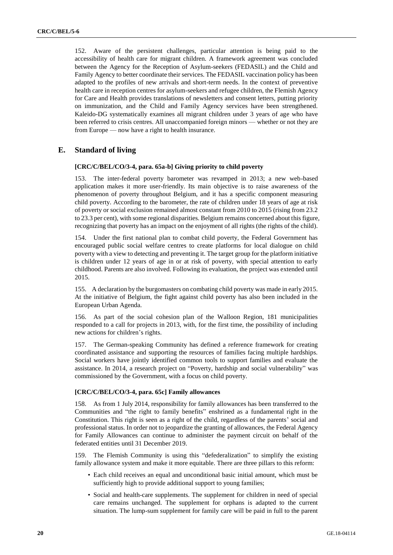152. Aware of the persistent challenges, particular attention is being paid to the accessibility of health care for migrant children. A framework agreement was concluded between the Agency for the Reception of Asylum-seekers (FEDASIL) and the Child and Family Agency to better coordinate their services. The FEDASIL vaccination policy has been adapted to the profiles of new arrivals and short-term needs. In the context of preventive health care in reception centres for asylum-seekers and refugee children, the Flemish Agency for Care and Health provides translations of newsletters and consent letters, putting priority on immunization, and the Child and Family Agency services have been strengthened. Kaleido-DG systematically examines all migrant children under 3 years of age who have been referred to crisis centres. All unaccompanied foreign minors — whether or not they are from Europe — now have a right to health insurance.

## **E. Standard of living**

#### **[CRC/C/BEL/CO/3-4, para. 65a-b] Giving priority to child poverty**

153. The inter-federal poverty barometer was revamped in 2013; a new web-based application makes it more user-friendly. Its main objective is to raise awareness of the phenomenon of poverty throughout Belgium, and it has a specific component measuring child poverty. According to the barometer, the rate of children under 18 years of age at risk of poverty or social exclusion remained almost constant from 2010 to 2015 (rising from 23.2 to 23.3 per cent), with some regional disparities. Belgium remains concerned about this figure, recognizing that poverty has an impact on the enjoyment of all rights (the rights of the child).

154. Under the first national plan to combat child poverty, the Federal Government has encouraged public social welfare centres to create platforms for local dialogue on child poverty with a view to detecting and preventing it. The target group for the platform initiative is children under 12 years of age in or at risk of poverty, with special attention to early childhood. Parents are also involved. Following its evaluation, the project was extended until 2015.

155. A declaration by the burgomasters on combating child poverty was made in early 2015. At the initiative of Belgium, the fight against child poverty has also been included in the European Urban Agenda.

156. As part of the social cohesion plan of the Walloon Region, 181 municipalities responded to a call for projects in 2013, with, for the first time, the possibility of including new actions for children's rights.

157. The German-speaking Community has defined a reference framework for creating coordinated assistance and supporting the resources of families facing multiple hardships. Social workers have jointly identified common tools to support families and evaluate the assistance. In 2014, a research project on "Poverty, hardship and social vulnerability" was commissioned by the Government, with a focus on child poverty.

## **[CRC/C/BEL/CO/3-4, para. 65c] Family allowances**

158. As from 1 July 2014, responsibility for family allowances has been transferred to the Communities and "the right to family benefits" enshrined as a fundamental right in the Constitution. This right is seen as a right of the child, regardless of the parents' social and professional status. In order not to jeopardize the granting of allowances, the Federal Agency for Family Allowances can continue to administer the payment circuit on behalf of the federated entities until 31 December 2019.

159. The Flemish Community is using this "defederalization" to simplify the existing family allowance system and make it more equitable. There are three pillars to this reform:

- Each child receives an equal and unconditional basic initial amount, which must be sufficiently high to provide additional support to young families;
- Social and health-care supplements. The supplement for children in need of special care remains unchanged. The supplement for orphans is adapted to the current situation. The lump-sum supplement for family care will be paid in full to the parent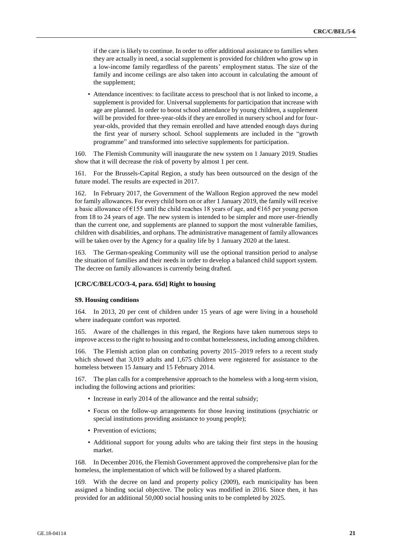if the care is likely to continue. In order to offer additional assistance to families when they are actually in need, a social supplement is provided for children who grow up in a low-income family regardless of the parents' employment status. The size of the family and income ceilings are also taken into account in calculating the amount of the supplement;

• Attendance incentives: to facilitate access to preschool that is not linked to income, a supplement is provided for. Universal supplements for participation that increase with age are planned. In order to boost school attendance by young children, a supplement will be provided for three-year-olds if they are enrolled in nursery school and for fouryear-olds, provided that they remain enrolled and have attended enough days during the first year of nursery school. School supplements are included in the "growth programme" and transformed into selective supplements for participation.

160. The Flemish Community will inaugurate the new system on 1 January 2019. Studies show that it will decrease the risk of poverty by almost 1 per cent.

161. For the Brussels-Capital Region, a study has been outsourced on the design of the future model. The results are expected in 2017.

162. In February 2017, the Government of the Walloon Region approved the new model for family allowances. For every child born on or after 1 January 2019, the family will receive a basic allowance of  $\epsilon$ 155 until the child reaches 18 years of age, and  $\epsilon$ 165 per young person from 18 to 24 years of age. The new system is intended to be simpler and more user-friendly than the current one, and supplements are planned to support the most vulnerable families, children with disabilities, and orphans. The administrative management of family allowances will be taken over by the Agency for a quality life by 1 January 2020 at the latest.

163. The German-speaking Community will use the optional transition period to analyse the situation of families and their needs in order to develop a balanced child support system. The decree on family allowances is currently being drafted.

#### **[CRC/C/BEL/CO/3-4, para. 65d] Right to housing**

#### **S9. Housing conditions**

164. In 2013, 20 per cent of children under 15 years of age were living in a household where inadequate comfort was reported.

165. Aware of the challenges in this regard, the Regions have taken numerous steps to improve access to the right to housing and to combat homelessness, including among children.

166. The Flemish action plan on combating poverty 2015–2019 refers to a recent study which showed that 3,019 adults and 1,675 children were registered for assistance to the homeless between 15 January and 15 February 2014.

167. The plan calls for a comprehensive approach to the homeless with a long-term vision, including the following actions and priorities:

- Increase in early 2014 of the allowance and the rental subsidy;
- Focus on the follow-up arrangements for those leaving institutions (psychiatric or special institutions providing assistance to young people);
- Prevention of evictions;
- Additional support for young adults who are taking their first steps in the housing market.

168. In December 2016, the Flemish Government approved the comprehensive plan for the homeless, the implementation of which will be followed by a shared platform.

169. With the decree on land and property policy (2009), each municipality has been assigned a binding social objective. The policy was modified in 2016. Since then, it has provided for an additional 50,000 social housing units to be completed by 2025.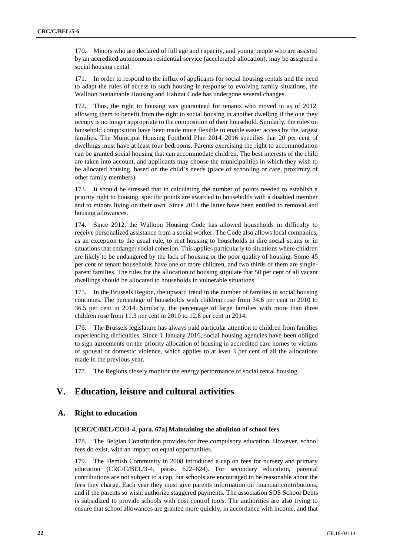170. Minors who are declared of full age and capacity, and young people who are assisted by an accredited autonomous residential service (accelerated allocation), may be assigned a social housing rental.

171. In order to respond to the influx of applicants for social housing rentals and the need to adapt the rules of access to such housing in response to evolving family situations, the Walloon Sustainable Housing and Habitat Code has undergone several changes.

172. Thus, the right to housing was guaranteed for tenants who moved in as of 2012, allowing them to benefit from the right to social housing in another dwelling if the one they occupy is no longer appropriate to the composition of their household. Similarly, the rules on household composition have been made more flexible to enable easier access by the largest families. The Municipal Housing Foothold Plan 2014–2016 specifies that 20 per cent of dwellings must have at least four bedrooms. Parents exercising the right to accommodation can be granted social housing that can accommodate children. The best interests of the child are taken into account, and applicants may choose the municipalities in which they wish to be allocated housing, based on the child's needs (place of schooling or care, proximity of other family members).

173. It should be stressed that in calculating the number of points needed to establish a priority right to housing, specific points are awarded to households with a disabled member and to minors living on their own. Since 2014 the latter have been entitled to removal and housing allowances.

174. Since 2012, the Walloon Housing Code has allowed households in difficulty to receive personalized assistance from a social worker. The Code also allows local companies, as an exception to the usual rule, to rent housing to households in dire social straits or in situations that endanger social cohesion. This applies particularly to situations where children are likely to be endangered by the lack of housing or the poor quality of housing. Some 45 per cent of tenant households have one or more children, and two thirds of them are singleparent families. The rules for the allocation of housing stipulate that 50 per cent of all vacant dwellings should be allocated to households in vulnerable situations.

175. In the Brussels Region, the upward trend in the number of families in social housing continues. The percentage of households with children rose from 34.6 per cent in 2010 to 36.5 per cent in 2014. Similarly, the percentage of large families with more than three children rose from 11.3 per cent in 2010 to 12.8 per cent in 2014.

176. The Brussels legislature has always paid particular attention to children from families experiencing difficulties. Since 1 January 2016, social housing agencies have been obliged to sign agreements on the priority allocation of housing in accredited care homes to victims of spousal or domestic violence, which applies to at least 3 per cent of all the allocations made in the previous year.

177. The Regions closely monitor the energy performance of social rental housing.

## **V. Education, leisure and cultural activities**

## **A. Right to education**

#### **[CRC/C/BEL/CO/3-4, para. 67a] Maintaining the abolition of school fees**

178. The Belgian Constitution provides for free compulsory education. However, school fees do exist, with an impact on equal opportunities.

179. The Flemish Community in 2008 introduced a cap on fees for nursery and primary education (CRC/C/BEL/3-4, paras. 622–624). For secondary education, parental contributions are not subject to a cap, but schools are encouraged to be reasonable about the fees they charge. Each year they must give parents information on financial contributions, and if the parents so wish, authorize staggered payments. The association SOS School Debts is subsidized to provide schools with cost control tools. The authorities are also trying to ensure that school allowances are granted more quickly, in accordance with income, and that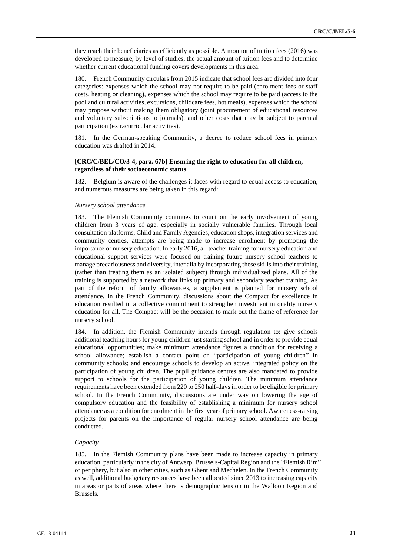they reach their beneficiaries as efficiently as possible. A monitor of tuition fees (2016) was developed to measure, by level of studies, the actual amount of tuition fees and to determine whether current educational funding covers developments in this area.

180. French Community circulars from 2015 indicate that school fees are divided into four categories: expenses which the school may not require to be paid (enrolment fees or staff costs, heating or cleaning), expenses which the school may require to be paid (access to the pool and cultural activities, excursions, childcare fees, hot meals), expenses which the school may propose without making them obligatory (joint procurement of educational resources and voluntary subscriptions to journals), and other costs that may be subject to parental participation (extracurricular activities).

181. In the German-speaking Community, a decree to reduce school fees in primary education was drafted in 2014.

### **[CRC/C/BEL/CO/3-4, para. 67b] Ensuring the right to education for all children, regardless of their socioeconomic status**

182. Belgium is aware of the challenges it faces with regard to equal access to education, and numerous measures are being taken in this regard:

#### *Nursery school attendance*

183. The Flemish Community continues to count on the early involvement of young children from 3 years of age, especially in socially vulnerable families. Through local consultation platforms, Child and Family Agencies, education shops, integration services and community centres, attempts are being made to increase enrolment by promoting the importance of nursery education. In early 2016, all teacher training for nursery education and educational support services were focused on training future nursery school teachers to manage precariousness and diversity, inter alia by incorporating these skills into their training (rather than treating them as an isolated subject) through individualized plans. All of the training is supported by a network that links up primary and secondary teacher training. As part of the reform of family allowances, a supplement is planned for nursery school attendance. In the French Community, discussions about the Compact for excellence in education resulted in a collective commitment to strengthen investment in quality nursery education for all. The Compact will be the occasion to mark out the frame of reference for nursery school.

184. In addition, the Flemish Community intends through regulation to: give schools additional teaching hours for young children just starting school and in order to provide equal educational opportunities; make minimum attendance figures a condition for receiving a school allowance; establish a contact point on "participation of young children" in community schools; and encourage schools to develop an active, integrated policy on the participation of young children. The pupil guidance centres are also mandated to provide support to schools for the participation of young children. The minimum attendance requirements have been extended from 220 to 250 half-days in order to be eligible for primary school. In the French Community, discussions are under way on lowering the age of compulsory education and the feasibility of establishing a minimum for nursery school attendance as a condition for enrolment in the first year of primary school. Awareness-raising projects for parents on the importance of regular nursery school attendance are being conducted.

#### *Capacity*

185. In the Flemish Community plans have been made to increase capacity in primary education, particularly in the city of Antwerp, Brussels-Capital Region and the "Flemish Rim" or periphery, but also in other cities, such as Ghent and Mechelen. In the French Community as well, additional budgetary resources have been allocated since 2013 to increasing capacity in areas or parts of areas where there is demographic tension in the Walloon Region and Brussels.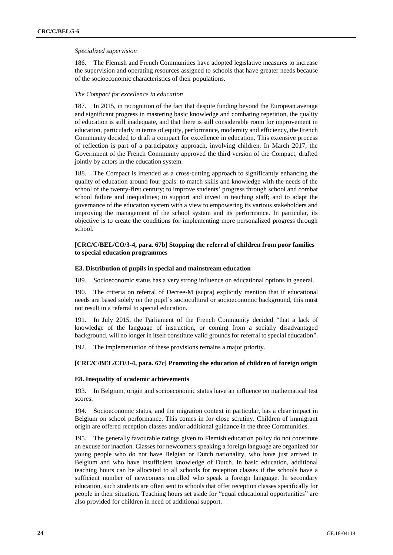#### *Specialized supervision*

186. The Flemish and French Communities have adopted legislative measures to increase the supervision and operating resources assigned to schools that have greater needs because of the socioeconomic characteristics of their populations.

#### *The Compact for excellence in education*

187. In 2015, in recognition of the fact that despite funding beyond the European average and significant progress in mastering basic knowledge and combating repetition, the quality of education is still inadequate, and that there is still considerable room for improvement in education, particularly in terms of equity, performance, modernity and efficiency, the French Community decided to draft a compact for excellence in education. This extensive process of reflection is part of a participatory approach, involving children. In March 2017, the Government of the French Community approved the third version of the Compact, drafted jointly by actors in the education system.

188. The Compact is intended as a cross-cutting approach to significantly enhancing the quality of education around four goals: to match skills and knowledge with the needs of the school of the twenty-first century; to improve students' progress through school and combat school failure and inequalities; to support and invest in teaching staff; and to adapt the governance of the education system with a view to empowering its various stakeholders and improving the management of the school system and its performance. In particular, its objective is to create the conditions for implementing more personalized progress through school.

## **[CRC/C/BEL/CO/3-4, para. 67b] Stopping the referral of children from poor families to special education programmes**

#### **E3. Distribution of pupils in special and mainstream education**

189. Socioeconomic status has a very strong influence on educational options in general.

190. The criteria on referral of Decree-M (supra) explicitly mention that if educational needs are based solely on the pupil's sociocultural or socioeconomic background, this must not result in a referral to special education.

191. In July 2015, the Parliament of the French Community decided "that a lack of knowledge of the language of instruction, or coming from a socially disadvantaged background, will no longer in itself constitute valid grounds for referral to special education".

192. The implementation of these provisions remains a major priority.

#### **[CRC/C/BEL/CO/3-4, para. 67c] Promoting the education of children of foreign origin**

#### **E8. Inequality of academic achievements**

193. In Belgium, origin and socioeconomic status have an influence on mathematical test scores.

194. Socioeconomic status, and the migration context in particular, has a clear impact in Belgium on school performance. This comes in for close scrutiny. Children of immigrant origin are offered reception classes and/or additional guidance in the three Communities.

195. The generally favourable ratings given to Flemish education policy do not constitute an excuse for inaction. Classes for newcomers speaking a foreign language are organized for young people who do not have Belgian or Dutch nationality, who have just arrived in Belgium and who have insufficient knowledge of Dutch. In basic education, additional teaching hours can be allocated to all schools for reception classes if the schools have a sufficient number of newcomers enrolled who speak a foreign language. In secondary education, such students are often sent to schools that offer reception classes specifically for people in their situation. Teaching hours set aside for "equal educational opportunities" are also provided for children in need of additional support.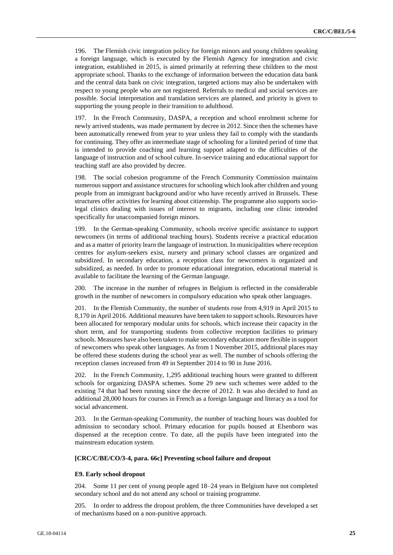196. The Flemish civic integration policy for foreign minors and young children speaking a foreign language, which is executed by the Flemish Agency for integration and civic integration, established in 2015, is aimed primarily at referring these children to the most appropriate school. Thanks to the exchange of information between the education data bank and the central data bank on civic integration, targeted actions may also be undertaken with respect to young people who are not registered. Referrals to medical and social services are possible. Social interpretation and translation services are planned, and priority is given to supporting the young people in their transition to adulthood.

197. In the French Community, DASPA, a reception and school enrolment scheme for newly arrived students, was made permanent by decree in 2012. Since then the schemes have been automatically renewed from year to year unless they fail to comply with the standards for continuing. They offer an intermediate stage of schooling for a limited period of time that is intended to provide coaching and learning support adapted to the difficulties of the language of instruction and of school culture. In-service training and educational support for teaching staff are also provided by decree.

The social cohesion programme of the French Community Commission maintains numerous support and assistance structures for schooling which look after children and young people from an immigrant background and/or who have recently arrived in Brussels. These structures offer activities for learning about citizenship. The programme also supports sociolegal clinics dealing with issues of interest to migrants, including one clinic intended specifically for unaccompanied foreign minors.

199. In the German-speaking Community, schools receive specific assistance to support newcomers (in terms of additional teaching hours). Students receive a practical education and as a matter of priority learn the language of instruction. In municipalities where reception centres for asylum-seekers exist, nursery and primary school classes are organized and subsidized. In secondary education, a reception class for newcomers is organized and subsidized, as needed. In order to promote educational integration, educational material is available to facilitate the learning of the German language.

200. The increase in the number of refugees in Belgium is reflected in the considerable growth in the number of newcomers in compulsory education who speak other languages.

201. In the Flemish Community, the number of students rose from 4,919 in April 2015 to 8,170 in April 2016. Additional measures have been taken to support schools. Resources have been allocated for temporary modular units for schools, which increase their capacity in the short term, and for transporting students from collective reception facilities to primary schools. Measures have also been taken to make secondary education more flexible in support of newcomers who speak other languages. As from 1 November 2015, additional places may be offered these students during the school year as well. The number of schools offering the reception classes increased from 49 in September 2014 to 90 in June 2016.

202. In the French Community, 1,295 additional teaching hours were granted to different schools for organizing DASPA schemes. Some 29 new such schemes were added to the existing 74 that had been running since the decree of 2012. It was also decided to fund an additional 28,000 hours for courses in French as a foreign language and literacy as a tool for social advancement.

203. In the German-speaking Community, the number of teaching hours was doubled for admission to secondary school. Primary education for pupils housed at Elsenborn was dispensed at the reception centre. To date, all the pupils have been integrated into the mainstream education system.

#### **[CRC/C/BE/CO/3-4, para. 66c] Preventing school failure and dropout**

#### **E9. Early school dropout**

204. Some 11 per cent of young people aged 18–24 years in Belgium have not completed secondary school and do not attend any school or training programme.

205. In order to address the dropout problem, the three Communities have developed a set of mechanisms based on a non-punitive approach.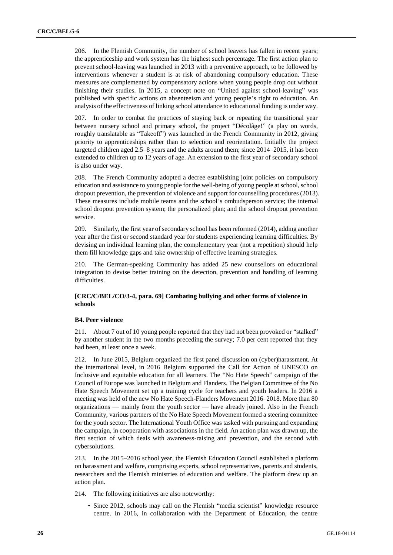206. In the Flemish Community, the number of school leavers has fallen in recent years; the apprenticeship and work system has the highest such percentage. The first action plan to prevent school-leaving was launched in 2013 with a preventive approach, to be followed by interventions whenever a student is at risk of abandoning compulsory education. These measures are complemented by compensatory actions when young people drop out without finishing their studies. In 2015, a concept note on "United against school-leaving" was published with specific actions on absenteeism and young people's right to education. An analysis of the effectiveness of linking school attendance to educational funding is under way.

207. In order to combat the practices of staying back or repeating the transitional year between nursery school and primary school, the project "Décolâge!" (a play on words, roughly translatable as "Takeoff") was launched in the French Community in 2012, giving priority to apprenticeships rather than to selection and reorientation. Initially the project targeted children aged 2.5–8 years and the adults around them; since 2014–2015, it has been extended to children up to 12 years of age. An extension to the first year of secondary school is also under way.

208. The French Community adopted a decree establishing joint policies on compulsory education and assistance to young people for the well-being of young people at school, school dropout prevention, the prevention of violence and support for counselling procedures (2013). These measures include mobile teams and the school's ombudsperson service; the internal school dropout prevention system; the personalized plan; and the school dropout prevention service.

209. Similarly, the first year of secondary school has been reformed (2014), adding another year after the first or second standard year for students experiencing learning difficulties. By devising an individual learning plan, the complementary year (not a repetition) should help them fill knowledge gaps and take ownership of effective learning strategies.

210. The German-speaking Community has added 25 new counsellors on educational integration to devise better training on the detection, prevention and handling of learning difficulties.

## **[CRC/C/BEL/CO/3-4, para. 69] Combating bullying and other forms of violence in schools**

#### **B4. Peer violence**

211. About 7 out of 10 young people reported that they had not been provoked or "stalked" by another student in the two months preceding the survey; 7.0 per cent reported that they had been, at least once a week.

212. In June 2015, Belgium organized the first panel discussion on (cyber)harassment. At the international level, in 2016 Belgium supported the Call for Action of UNESCO on Inclusive and equitable education for all learners. The "No Hate Speech" campaign of the Council of Europe was launched in Belgium and Flanders. The Belgian Committee of the No Hate Speech Movement set up a training cycle for teachers and youth leaders. In 2016 a meeting was held of the new No Hate Speech-Flanders Movement 2016–2018. More than 80 organizations — mainly from the youth sector — have already joined. Also in the French Community, various partners of the No Hate Speech Movement formed a steering committee for the youth sector. The International Youth Office was tasked with pursuing and expanding the campaign, in cooperation with associations in the field. An action plan was drawn up, the first section of which deals with awareness-raising and prevention, and the second with cybersolutions.

213. In the 2015–2016 school year, the Flemish Education Council established a platform on harassment and welfare, comprising experts, school representatives, parents and students, researchers and the Flemish ministries of education and welfare. The platform drew up an action plan.

- 214. The following initiatives are also noteworthy:
	- Since 2012, schools may call on the Flemish "media scientist" knowledge resource centre. In 2016, in collaboration with the Department of Education, the centre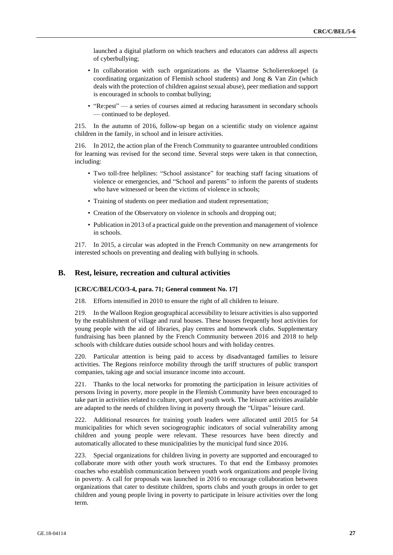launched a digital platform on which teachers and educators can address all aspects of cyberbullying;

- In collaboration with such organizations as the Vlaamse Scholierenkoepel (a coordinating organization of Flemish school students) and Jong & Van Zin (which deals with the protection of children against sexual abuse), peer mediation and support is encouraged in schools to combat bullying;
- "Re:pest" a series of courses aimed at reducing harassment in secondary schools — continued to be deployed.

215. In the autumn of 2016, follow-up began on a scientific study on violence against children in the family, in school and in leisure activities.

216. In 2012, the action plan of the French Community to guarantee untroubled conditions for learning was revised for the second time. Several steps were taken in that connection, including:

- Two toll-free helplines: "School assistance" for teaching staff facing situations of violence or emergencies, and "School and parents" to inform the parents of students who have witnessed or been the victims of violence in schools;
- Training of students on peer mediation and student representation;
- Creation of the Observatory on violence in schools and dropping out;
- Publication in 2013 of a practical guide on the prevention and management of violence in schools.

217. In 2015, a circular was adopted in the French Community on new arrangements for interested schools on preventing and dealing with bullying in schools.

## **B. Rest, leisure, recreation and cultural activities**

#### **[CRC/C/BEL/CO/3-4, para. 71; General comment No. 17]**

218. Efforts intensified in 2010 to ensure the right of all children to leisure.

219. In the Walloon Region geographical accessibility to leisure activities is also supported by the establishment of village and rural houses. These houses frequently host activities for young people with the aid of libraries, play centres and homework clubs. Supplementary fundraising has been planned by the French Community between 2016 and 2018 to help schools with childcare duties outside school hours and with holiday centres.

220. Particular attention is being paid to access by disadvantaged families to leisure activities. The Regions reinforce mobility through the tariff structures of public transport companies, taking age and social insurance income into account.

221. Thanks to the local networks for promoting the participation in leisure activities of persons living in poverty, more people in the Flemish Community have been encouraged to take part in activities related to culture, sport and youth work. The leisure activities available are adapted to the needs of children living in poverty through the "Uitpas" leisure card.

222. Additional resources for training youth leaders were allocated until 2015 for 54 municipalities for which seven sociogeographic indicators of social vulnerability among children and young people were relevant. These resources have been directly and automatically allocated to these municipalities by the municipal fund since 2016.

223. Special organizations for children living in poverty are supported and encouraged to collaborate more with other youth work structures. To that end the Embassy promotes coaches who establish communication between youth work organizations and people living in poverty. A call for proposals was launched in 2016 to encourage collaboration between organizations that cater to destitute children, sports clubs and youth groups in order to get children and young people living in poverty to participate in leisure activities over the long term.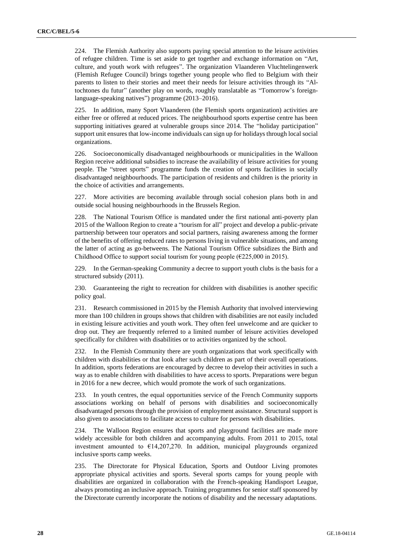224. The Flemish Authority also supports paying special attention to the leisure activities of refugee children. Time is set aside to get together and exchange information on "Art, culture, and youth work with refugees". The organization Vlaanderen Vluchtelingenwerk (Flemish Refugee Council) brings together young people who fled to Belgium with their parents to listen to their stories and meet their needs for leisure activities through its "Altochtones du futur" (another play on words, roughly translatable as "Tomorrow's foreignlanguage-speaking natives") programme (2013–2016).

225. In addition, many Sport Vlaanderen (the Flemish sports organization) activities are either free or offered at reduced prices. The neighbourhood sports expertise centre has been supporting initiatives geared at vulnerable groups since 2014. The "holiday participation" support unit ensures that low-income individuals can sign up for holidays through local social organizations.

226. Socioeconomically disadvantaged neighbourhoods or municipalities in the Walloon Region receive additional subsidies to increase the availability of leisure activities for young people. The "street sports" programme funds the creation of sports facilities in socially disadvantaged neighbourhoods. The participation of residents and children is the priority in the choice of activities and arrangements.

227. More activities are becoming available through social cohesion plans both in and outside social housing neighbourhoods in the Brussels Region.

228. The National Tourism Office is mandated under the first national anti-poverty plan 2015 of the Walloon Region to create a "tourism for all" project and develop a public-private partnership between tour operators and social partners, raising awareness among the former of the benefits of offering reduced rates to persons living in vulnerable situations, and among the latter of acting as go-betweens. The National Tourism Office subsidizes the Birth and Childhood Office to support social tourism for young people  $(\text{\textsterling}225,000 \text{ in } 2015)$ .

229. In the German-speaking Community a decree to support youth clubs is the basis for a structured subsidy (2011).

230. Guaranteeing the right to recreation for children with disabilities is another specific policy goal.

231. Research commissioned in 2015 by the Flemish Authority that involved interviewing more than 100 children in groups shows that children with disabilities are not easily included in existing leisure activities and youth work. They often feel unwelcome and are quicker to drop out. They are frequently referred to a limited number of leisure activities developed specifically for children with disabilities or to activities organized by the school.

232. In the Flemish Community there are youth organizations that work specifically with children with disabilities or that look after such children as part of their overall operations. In addition, sports federations are encouraged by decree to develop their activities in such a way as to enable children with disabilities to have access to sports. Preparations were begun in 2016 for a new decree, which would promote the work of such organizations.

233. In youth centres, the equal opportunities service of the French Community supports associations working on behalf of persons with disabilities and socioeconomically disadvantaged persons through the provision of employment assistance. Structural support is also given to associations to facilitate access to culture for persons with disabilities.

234. The Walloon Region ensures that sports and playground facilities are made more widely accessible for both children and accompanying adults. From 2011 to 2015, total investment amounted to €14,207,270. In addition, municipal playgrounds organized inclusive sports camp weeks.

235. The Directorate for Physical Education, Sports and Outdoor Living promotes appropriate physical activities and sports. Several sports camps for young people with disabilities are organized in collaboration with the French-speaking Handisport League, always promoting an inclusive approach. Training programmes for senior staff sponsored by the Directorate currently incorporate the notions of disability and the necessary adaptations.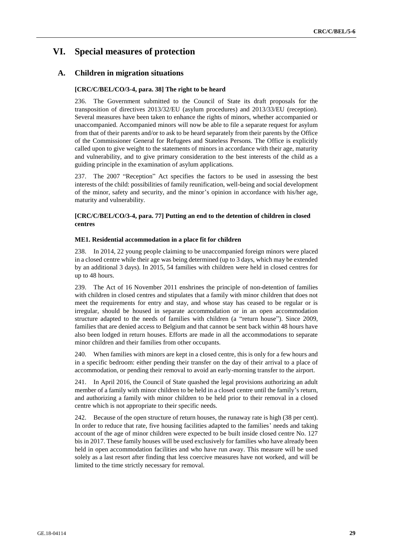## **VI. Special measures of protection**

## **A. Children in migration situations**

## **[CRC/C/BEL/CO/3-4, para. 38] The right to be heard**

236. The Government submitted to the Council of State its draft proposals for the transposition of directives 2013/32/EU (asylum procedures) and 2013/33/EU (reception). Several measures have been taken to enhance the rights of minors, whether accompanied or unaccompanied. Accompanied minors will now be able to file a separate request for asylum from that of their parents and/or to ask to be heard separately from their parents by the Office of the Commissioner General for Refugees and Stateless Persons. The Office is explicitly called upon to give weight to the statements of minors in accordance with their age, maturity and vulnerability, and to give primary consideration to the best interests of the child as a guiding principle in the examination of asylum applications.

237. The 2007 "Reception" Act specifies the factors to be used in assessing the best interests of the child: possibilities of family reunification, well-being and social development of the minor, safety and security, and the minor's opinion in accordance with his/her age, maturity and vulnerability.

## **[CRC/C/BEL/CO/3-4, para. 77] Putting an end to the detention of children in closed centres**

#### **ME1. Residential accommodation in a place fit for children**

238. In 2014, 22 young people claiming to be unaccompanied foreign minors were placed in a closed centre while their age was being determined (up to 3 days, which may be extended by an additional 3 days). In 2015, 54 families with children were held in closed centres for up to 48 hours.

239. The Act of 16 November 2011 enshrines the principle of non-detention of families with children in closed centres and stipulates that a family with minor children that does not meet the requirements for entry and stay, and whose stay has ceased to be regular or is irregular, should be housed in separate accommodation or in an open accommodation structure adapted to the needs of families with children (a "return house"). Since 2009, families that are denied access to Belgium and that cannot be sent back within 48 hours have also been lodged in return houses. Efforts are made in all the accommodations to separate minor children and their families from other occupants.

240. When families with minors are kept in a closed centre, this is only for a few hours and in a specific bedroom: either pending their transfer on the day of their arrival to a place of accommodation, or pending their removal to avoid an early-morning transfer to the airport.

241. In April 2016, the Council of State quashed the legal provisions authorizing an adult member of a family with minor children to be held in a closed centre until the family's return, and authorizing a family with minor children to be held prior to their removal in a closed centre which is not appropriate to their specific needs.

242. Because of the open structure of return houses, the runaway rate is high (38 per cent). In order to reduce that rate, five housing facilities adapted to the families' needs and taking account of the age of minor children were expected to be built inside closed centre No. 127 bis in 2017. These family houses will be used exclusively for families who have already been held in open accommodation facilities and who have run away. This measure will be used solely as a last resort after finding that less coercive measures have not worked, and will be limited to the time strictly necessary for removal.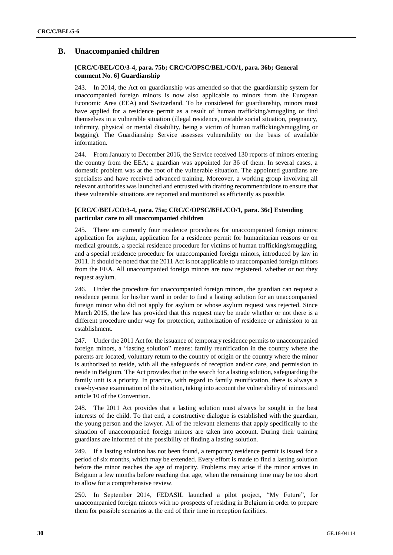## **B. Unaccompanied children**

## **[CRC/C/BEL/CO/3-4, para. 75b; CRC/C/OPSC/BEL/CO/1, para. 36b; General comment No. 6] Guardianship**

243. In 2014, the Act on guardianship was amended so that the guardianship system for unaccompanied foreign minors is now also applicable to minors from the European Economic Area (EEA) and Switzerland. To be considered for guardianship, minors must have applied for a residence permit as a result of human trafficking/smuggling or find themselves in a vulnerable situation (illegal residence, unstable social situation, pregnancy, infirmity, physical or mental disability, being a victim of human trafficking/smuggling or begging). The Guardianship Service assesses vulnerability on the basis of available information.

244. From January to December 2016, the Service received 130 reports of minors entering the country from the EEA; a guardian was appointed for 36 of them. In several cases, a domestic problem was at the root of the vulnerable situation. The appointed guardians are specialists and have received advanced training. Moreover, a working group involving all relevant authorities was launched and entrusted with drafting recommendations to ensure that these vulnerable situations are reported and monitored as efficiently as possible.

## **[CRC/C/BEL/CO/3-4, para. 75a; CRC/C/OPSC/BEL/CO/1, para. 36c] Extending particular care to all unaccompanied children**

245. There are currently four residence procedures for unaccompanied foreign minors: application for asylum, application for a residence permit for humanitarian reasons or on medical grounds, a special residence procedure for victims of human trafficking/smuggling, and a special residence procedure for unaccompanied foreign minors, introduced by law in 2011. It should be noted that the 2011 Act is not applicable to unaccompanied foreign minors from the EEA. All unaccompanied foreign minors are now registered, whether or not they request asylum.

246. Under the procedure for unaccompanied foreign minors, the guardian can request a residence permit for his/her ward in order to find a lasting solution for an unaccompanied foreign minor who did not apply for asylum or whose asylum request was rejected. Since March 2015, the law has provided that this request may be made whether or not there is a different procedure under way for protection, authorization of residence or admission to an establishment.

247. Under the 2011 Act for the issuance of temporary residence permits to unaccompanied foreign minors, a "lasting solution" means: family reunification in the country where the parents are located, voluntary return to the country of origin or the country where the minor is authorized to reside, with all the safeguards of reception and/or care, and permission to reside in Belgium. The Act provides that in the search for a lasting solution, safeguarding the family unit is a priority. In practice, with regard to family reunification, there is always a case-by-case examination of the situation, taking into account the vulnerability of minors and article 10 of the Convention.

248. The 2011 Act provides that a lasting solution must always be sought in the best interests of the child. To that end, a constructive dialogue is established with the guardian, the young person and the lawyer. All of the relevant elements that apply specifically to the situation of unaccompanied foreign minors are taken into account. During their training guardians are informed of the possibility of finding a lasting solution.

249. If a lasting solution has not been found, a temporary residence permit is issued for a period of six months, which may be extended. Every effort is made to find a lasting solution before the minor reaches the age of majority. Problems may arise if the minor arrives in Belgium a few months before reaching that age, when the remaining time may be too short to allow for a comprehensive review.

250. In September 2014, FEDASIL launched a pilot project, "My Future", for unaccompanied foreign minors with no prospects of residing in Belgium in order to prepare them for possible scenarios at the end of their time in reception facilities.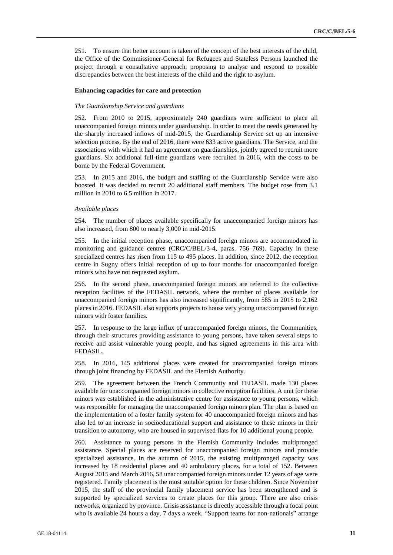251. To ensure that better account is taken of the concept of the best interests of the child, the Office of the Commissioner-General for Refugees and Stateless Persons launched the project through a consultative approach, proposing to analyse and respond to possible discrepancies between the best interests of the child and the right to asylum.

#### **Enhancing capacities for care and protection**

#### *The Guardianship Service and guardians*

252. From 2010 to 2015, approximately 240 guardians were sufficient to place all unaccompanied foreign minors under guardianship. In order to meet the needs generated by the sharply increased inflows of mid-2015, the Guardianship Service set up an intensive selection process. By the end of 2016, there were 633 active guardians. The Service, and the associations with which it had an agreement on guardianships, jointly agreed to recruit more guardians. Six additional full-time guardians were recruited in 2016, with the costs to be borne by the Federal Government.

253. In 2015 and 2016, the budget and staffing of the Guardianship Service were also boosted. It was decided to recruit 20 additional staff members. The budget rose from 3.1 million in 2010 to 6.5 million in 2017.

#### *Available places*

254. The number of places available specifically for unaccompanied foreign minors has also increased, from 800 to nearly 3,000 in mid-2015.

255. In the initial reception phase, unaccompanied foreign minors are accommodated in monitoring and guidance centres (CRC/C/BEL/3-4, paras. 756–769). Capacity in these specialized centres has risen from 115 to 495 places. In addition, since 2012, the reception centre in Sugny offers initial reception of up to four months for unaccompanied foreign minors who have not requested asylum.

256. In the second phase, unaccompanied foreign minors are referred to the collective reception facilities of the FEDASIL network, where the number of places available for unaccompanied foreign minors has also increased significantly, from 585 in 2015 to 2,162 places in 2016. FEDASIL also supports projects to house very young unaccompanied foreign minors with foster families.

257. In response to the large influx of unaccompanied foreign minors, the Communities, through their structures providing assistance to young persons, have taken several steps to receive and assist vulnerable young people, and has signed agreements in this area with FEDASIL.

258. In 2016, 145 additional places were created for unaccompanied foreign minors through joint financing by FEDASIL and the Flemish Authority.

259. The agreement between the French Community and FEDASIL made 130 places available for unaccompanied foreign minors in collective reception facilities. A unit for these minors was established in the administrative centre for assistance to young persons, which was responsible for managing the unaccompanied foreign minors plan. The plan is based on the implementation of a foster family system for 40 unaccompanied foreign minors and has also led to an increase in socioeducational support and assistance to these minors in their transition to autonomy, who are housed in supervised flats for 10 additional young people.

260. Assistance to young persons in the Flemish Community includes multipronged assistance. Special places are reserved for unaccompanied foreign minors and provide specialized assistance. In the autumn of 2015, the existing multipronged capacity was increased by 18 residential places and 40 ambulatory places, for a total of 152. Between August 2015 and March 2016, 58 unaccompanied foreign minors under 12 years of age were registered. Family placement is the most suitable option for these children. Since November 2015, the staff of the provincial family placement service has been strengthened and is supported by specialized services to create places for this group. There are also crisis networks, organized by province. Crisis assistance is directly accessible through a focal point who is available 24 hours a day, 7 days a week. "Support teams for non-nationals" arrange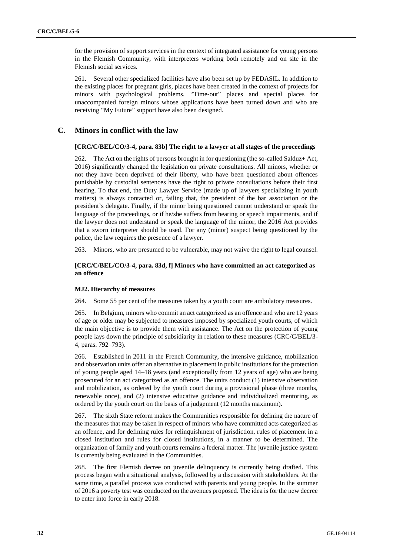for the provision of support services in the context of integrated assistance for young persons in the Flemish Community, with interpreters working both remotely and on site in the Flemish social services.

261. Several other specialized facilities have also been set up by FEDASIL. In addition to the existing places for pregnant girls, places have been created in the context of projects for minors with psychological problems. "Time-out" places and special places for unaccompanied foreign minors whose applications have been turned down and who are receiving "My Future" support have also been designed.

## **C. Minors in conflict with the law**

#### **[CRC/C/BEL/CO/3-4, para. 83b] The right to a lawyer at all stages of the proceedings**

262. The Act on the rights of persons brought in for questioning (the so-called Salduz+ Act, 2016) significantly changed the legislation on private consultations. All minors, whether or not they have been deprived of their liberty, who have been questioned about offences punishable by custodial sentences have the right to private consultations before their first hearing. To that end, the Duty Lawyer Service (made up of lawyers specializing in youth matters) is always contacted or, failing that, the president of the bar association or the president's delegate. Finally, if the minor being questioned cannot understand or speak the language of the proceedings, or if he/she suffers from hearing or speech impairments, and if the lawyer does not understand or speak the language of the minor, the 2016 Act provides that a sworn interpreter should be used. For any (minor) suspect being questioned by the police, the law requires the presence of a lawyer.

263. Minors, who are presumed to be vulnerable, may not waive the right to legal counsel.

### **[CRC/C/BEL/CO/3-4, para. 83d, f] Minors who have committed an act categorized as an offence**

#### **MJ2. Hierarchy of measures**

264. Some 55 per cent of the measures taken by a youth court are ambulatory measures.

265. In Belgium, minors who commit an act categorized as an offence and who are 12 years of age or older may be subjected to measures imposed by specialized youth courts, of which the main objective is to provide them with assistance. The Act on the protection of young people lays down the principle of subsidiarity in relation to these measures (CRC/C/BEL/3- 4, paras. 792–793).

266. Established in 2011 in the French Community, the intensive guidance, mobilization and observation units offer an alternative to placement in public institutions for the protection of young people aged 14–18 years (and exceptionally from 12 years of age) who are being prosecuted for an act categorized as an offence. The units conduct (1) intensive observation and mobilization, as ordered by the youth court during a provisional phase (three months, renewable once), and (2) intensive educative guidance and individualized mentoring, as ordered by the youth court on the basis of a judgement (12 months maximum).

267. The sixth State reform makes the Communities responsible for defining the nature of the measures that may be taken in respect of minors who have committed acts categorized as an offence, and for defining rules for relinquishment of jurisdiction, rules of placement in a closed institution and rules for closed institutions, in a manner to be determined. The organization of family and youth courts remains a federal matter. The juvenile justice system is currently being evaluated in the Communities.

268. The first Flemish decree on juvenile delinquency is currently being drafted. This process began with a situational analysis, followed by a discussion with stakeholders. At the same time, a parallel process was conducted with parents and young people. In the summer of 2016 a poverty test was conducted on the avenues proposed. The idea is for the new decree to enter into force in early 2018.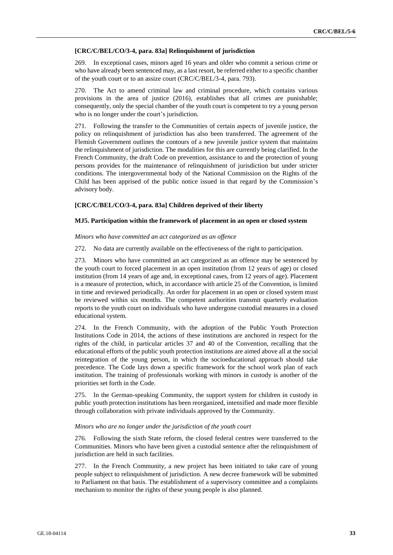#### **[CRC/C/BEL/CO/3-4, para. 83a] Relinquishment of jurisdiction**

269. In exceptional cases, minors aged 16 years and older who commit a serious crime or who have already been sentenced may, as a last resort, be referred either to a specific chamber of the youth court or to an assize court (CRC/C/BEL/3-4, para. 793).

270. The Act to amend criminal law and criminal procedure, which contains various provisions in the area of justice (2016), establishes that all crimes are punishable; consequently, only the special chamber of the youth court is competent to try a young person who is no longer under the court's jurisdiction.

271. Following the transfer to the Communities of certain aspects of juvenile justice, the policy on relinquishment of jurisdiction has also been transferred. The agreement of the Flemish Government outlines the contours of a new juvenile justice system that maintains the relinquishment of jurisdiction. The modalities for this are currently being clarified. In the French Community, the draft Code on prevention, assistance to and the protection of young persons provides for the maintenance of relinquishment of jurisdiction but under stricter conditions. The intergovernmental body of the National Commission on the Rights of the Child has been apprised of the public notice issued in that regard by the Commission's advisory body.

#### **[CRC/C/BEL/CO/3-4, para. 83a] Children deprived of their liberty**

### **MJ5. Participation within the framework of placement in an open or closed system**

#### *Minors who have committed an act categorized as an offence*

272. No data are currently available on the effectiveness of the right to participation.

273. Minors who have committed an act categorized as an offence may be sentenced by the youth court to forced placement in an open institution (from 12 years of age) or closed institution (from 14 years of age and, in exceptional cases, from 12 years of age). Placement is a measure of protection, which, in accordance with article 25 of the Convention, is limited in time and reviewed periodically. An order for placement in an open or closed system must be reviewed within six months. The competent authorities transmit quarterly evaluation reports to the youth court on individuals who have undergone custodial measures in a closed educational system.

274. In the French Community, with the adoption of the Public Youth Protection Institutions Code in 2014, the actions of these institutions are anchored in respect for the rights of the child, in particular articles 37 and 40 of the Convention, recalling that the educational efforts of the public youth protection institutions are aimed above all at the social reintegration of the young person, in which the socioeducational approach should take precedence. The Code lays down a specific framework for the school work plan of each institution. The training of professionals working with minors in custody is another of the priorities set forth in the Code.

275. In the German-speaking Community, the support system for children in custody in public youth protection institutions has been reorganized, intensified and made more flexible through collaboration with private individuals approved by the Community.

#### *Minors who are no longer under the jurisdiction of the youth court*

276. Following the sixth State reform, the closed federal centres were transferred to the Communities. Minors who have been given a custodial sentence after the relinquishment of jurisdiction are held in such facilities.

277. In the French Community, a new project has been initiated to take care of young people subject to relinquishment of jurisdiction. A new decree framework will be submitted to Parliament on that basis. The establishment of a supervisory committee and a complaints mechanism to monitor the rights of these young people is also planned.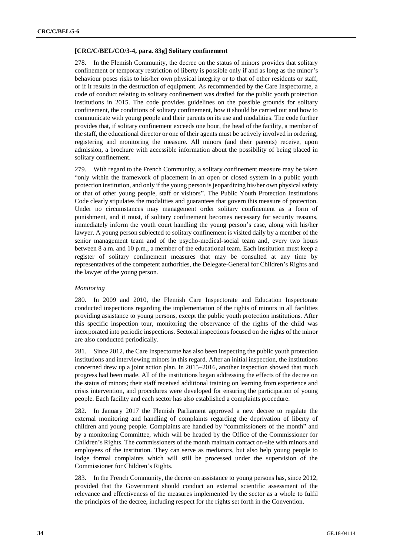#### **[CRC/C/BEL/CO/3-4, para. 83g] Solitary confinement**

278. In the Flemish Community, the decree on the status of minors provides that solitary confinement or temporary restriction of liberty is possible only if and as long as the minor's behaviour poses risks to his/her own physical integrity or to that of other residents or staff, or if it results in the destruction of equipment. As recommended by the Care Inspectorate, a code of conduct relating to solitary confinement was drafted for the public youth protection institutions in 2015. The code provides guidelines on the possible grounds for solitary confinement, the conditions of solitary confinement, how it should be carried out and how to communicate with young people and their parents on its use and modalities. The code further provides that, if solitary confinement exceeds one hour, the head of the facility, a member of the staff, the educational director or one of their agents must be actively involved in ordering, registering and monitoring the measure. All minors (and their parents) receive, upon admission, a brochure with accessible information about the possibility of being placed in solitary confinement.

279. With regard to the French Community, a solitary confinement measure may be taken "only within the framework of placement in an open or closed system in a public youth protection institution, and only if the young person is jeopardizing his/her own physical safety or that of other young people, staff or visitors". The Public Youth Protection Institutions Code clearly stipulates the modalities and guarantees that govern this measure of protection. Under no circumstances may management order solitary confinement as a form of punishment, and it must, if solitary confinement becomes necessary for security reasons, immediately inform the youth court handling the young person's case, along with his/her lawyer. A young person subjected to solitary confinement is visited daily by a member of the senior management team and of the psycho-medical-social team and, every two hours between 8 a.m. and 10 p.m., a member of the educational team. Each institution must keep a register of solitary confinement measures that may be consulted at any time by representatives of the competent authorities, the Delegate-General for Children's Rights and the lawyer of the young person.

#### *Monitoring*

280. In 2009 and 2010, the Flemish Care Inspectorate and Education Inspectorate conducted inspections regarding the implementation of the rights of minors in all facilities providing assistance to young persons, except the public youth protection institutions. After this specific inspection tour, monitoring the observance of the rights of the child was incorporated into periodic inspections. Sectoral inspections focused on the rights of the minor are also conducted periodically.

281. Since 2012, the Care Inspectorate has also been inspecting the public youth protection institutions and interviewing minors in this regard. After an initial inspection, the institutions concerned drew up a joint action plan. In 2015–2016, another inspection showed that much progress had been made. All of the institutions began addressing the effects of the decree on the status of minors; their staff received additional training on learning from experience and crisis intervention, and procedures were developed for ensuring the participation of young people. Each facility and each sector has also established a complaints procedure.

282. In January 2017 the Flemish Parliament approved a new decree to regulate the external monitoring and handling of complaints regarding the deprivation of liberty of children and young people. Complaints are handled by "commissioners of the month" and by a monitoring Committee, which will be headed by the Office of the Commissioner for Children's Rights. The commissioners of the month maintain contact on-site with minors and employees of the institution. They can serve as mediators, but also help young people to lodge formal complaints which will still be processed under the supervision of the Commissioner for Children's Rights.

283. In the French Community, the decree on assistance to young persons has, since 2012, provided that the Government should conduct an external scientific assessment of the relevance and effectiveness of the measures implemented by the sector as a whole to fulfil the principles of the decree, including respect for the rights set forth in the Convention.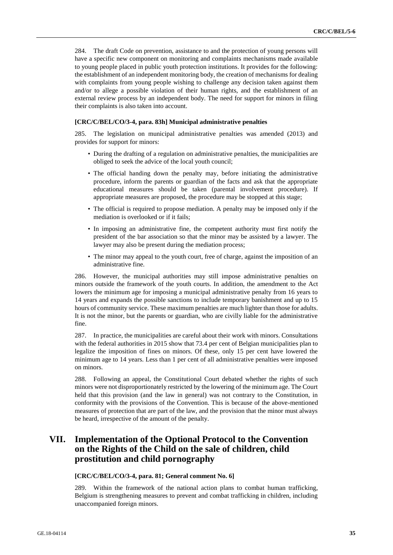284. The draft Code on prevention, assistance to and the protection of young persons will have a specific new component on monitoring and complaints mechanisms made available to young people placed in public youth protection institutions. It provides for the following: the establishment of an independent monitoring body, the creation of mechanisms for dealing with complaints from young people wishing to challenge any decision taken against them and/or to allege a possible violation of their human rights, and the establishment of an external review process by an independent body. The need for support for minors in filing their complaints is also taken into account.

#### **[CRC/C/BEL/CO/3-4, para. 83h] Municipal administrative penalties**

285. The legislation on municipal administrative penalties was amended (2013) and provides for support for minors:

- During the drafting of a regulation on administrative penalties, the municipalities are obliged to seek the advice of the local youth council;
- The official handing down the penalty may, before initiating the administrative procedure, inform the parents or guardian of the facts and ask that the appropriate educational measures should be taken (parental involvement procedure). If appropriate measures are proposed, the procedure may be stopped at this stage;
- The official is required to propose mediation. A penalty may be imposed only if the mediation is overlooked or if it fails;
- In imposing an administrative fine, the competent authority must first notify the president of the bar association so that the minor may be assisted by a lawyer. The lawyer may also be present during the mediation process;
- The minor may appeal to the youth court, free of charge, against the imposition of an administrative fine.

286. However, the municipal authorities may still impose administrative penalties on minors outside the framework of the youth courts. In addition, the amendment to the Act lowers the minimum age for imposing a municipal administrative penalty from 16 years to 14 years and expands the possible sanctions to include temporary banishment and up to 15 hours of community service. These maximum penalties are much lighter than those for adults. It is not the minor, but the parents or guardian, who are civilly liable for the administrative fine.

287. In practice, the municipalities are careful about their work with minors. Consultations with the federal authorities in 2015 show that 73.4 per cent of Belgian municipalities plan to legalize the imposition of fines on minors. Of these, only 15 per cent have lowered the minimum age to 14 years. Less than 1 per cent of all administrative penalties were imposed on minors.

288. Following an appeal, the Constitutional Court debated whether the rights of such minors were not disproportionately restricted by the lowering of the minimum age. The Court held that this provision (and the law in general) was not contrary to the Constitution, in conformity with the provisions of the Convention. This is because of the above-mentioned measures of protection that are part of the law, and the provision that the minor must always be heard, irrespective of the amount of the penalty.

## **VII. Implementation of the Optional Protocol to the Convention on the Rights of the Child on the sale of children, child prostitution and child pornography**

#### **[CRC/C/BEL/CO/3-4, para. 81; General comment No. 6]**

289. Within the framework of the national action plans to combat human trafficking, Belgium is strengthening measures to prevent and combat trafficking in children, including unaccompanied foreign minors.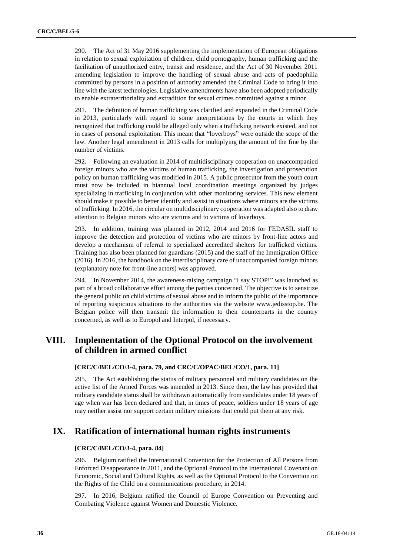290. The Act of 31 May 2016 supplementing the implementation of European obligations in relation to sexual exploitation of children, child pornography, human trafficking and the facilitation of unauthorized entry, transit and residence, and the Act of 30 November 2011 amending legislation to improve the handling of sexual abuse and acts of paedophilia committed by persons in a position of authority amended the Criminal Code to bring it into line with the latest technologies. Legislative amendments have also been adopted periodically to enable extraterritoriality and extradition for sexual crimes committed against a minor.

291. The definition of human trafficking was clarified and expanded in the Criminal Code in 2013, particularly with regard to some interpretations by the courts in which they recognized that trafficking could be alleged only when a trafficking network existed, and not in cases of personal exploitation. This meant that "loverboys" were outside the scope of the law. Another legal amendment in 2013 calls for multiplying the amount of the fine by the number of victims.

292. Following an evaluation in 2014 of multidisciplinary cooperation on unaccompanied foreign minors who are the victims of human trafficking, the investigation and prosecution policy on human trafficking was modified in 2015. A public prosecutor from the youth court must now be included in biannual local coordination meetings organized by judges specializing in trafficking in conjunction with other monitoring services. This new element should make it possible to better identify and assist in situations where minors are the victims of trafficking. In 2016, the circular on multidisciplinary cooperation was adapted also to draw attention to Belgian minors who are victims and to victims of loverboys.

293. In addition, training was planned in 2012, 2014 and 2016 for FEDASIL staff to improve the detection and protection of victims who are minors by front-line actors and develop a mechanism of referral to specialized accredited shelters for trafficked victims. Training has also been planned for guardians (2015) and the staff of the Immigration Office (2016). In 2016, the handbook on the interdisciplinary care of unaccompanied foreign minors (explanatory note for front-line actors) was approved.

294. In November 2014, the awareness-raising campaign "I say STOP!" was launched as part of a broad collaborative effort among the parties concerned. The objective is to sensitize the general public on child victims of sexual abuse and to inform the public of the importance of reporting suspicious situations to the authorities via the website www.jedisstop.be. The Belgian police will then transmit the information to their counterparts in the country concerned, as well as to Europol and Interpol, if necessary.

## **VIII. Implementation of the Optional Protocol on the involvement of children in armed conflict**

### **[CRC/C/BEL/CO/3-4, para. 79, and CRC/C/OPAC/BEL/CO/1, para. 11]**

295. The Act establishing the status of military personnel and military candidates on the active list of the Armed Forces was amended in 2013. Since then, the law has provided that military candidate status shall be withdrawn automatically from candidates under 18 years of age when war has been declared and that, in times of peace, soldiers under 18 years of age may neither assist nor support certain military missions that could put them at any risk.

## **IX. Ratification of international human rights instruments**

#### **[CRC/C/BEL/CO/3-4, para. 84]**

296. Belgium ratified the International Convention for the Protection of All Persons from Enforced Disappearance in 2011, and the Optional Protocol to the International Covenant on Economic, Social and Cultural Rights, as well as the Optional Protocol to the Convention on the Rights of the Child on a communications procedure, in 2014.

297. In 2016, Belgium ratified the Council of Europe Convention on Preventing and Combating Violence against Women and Domestic Violence.